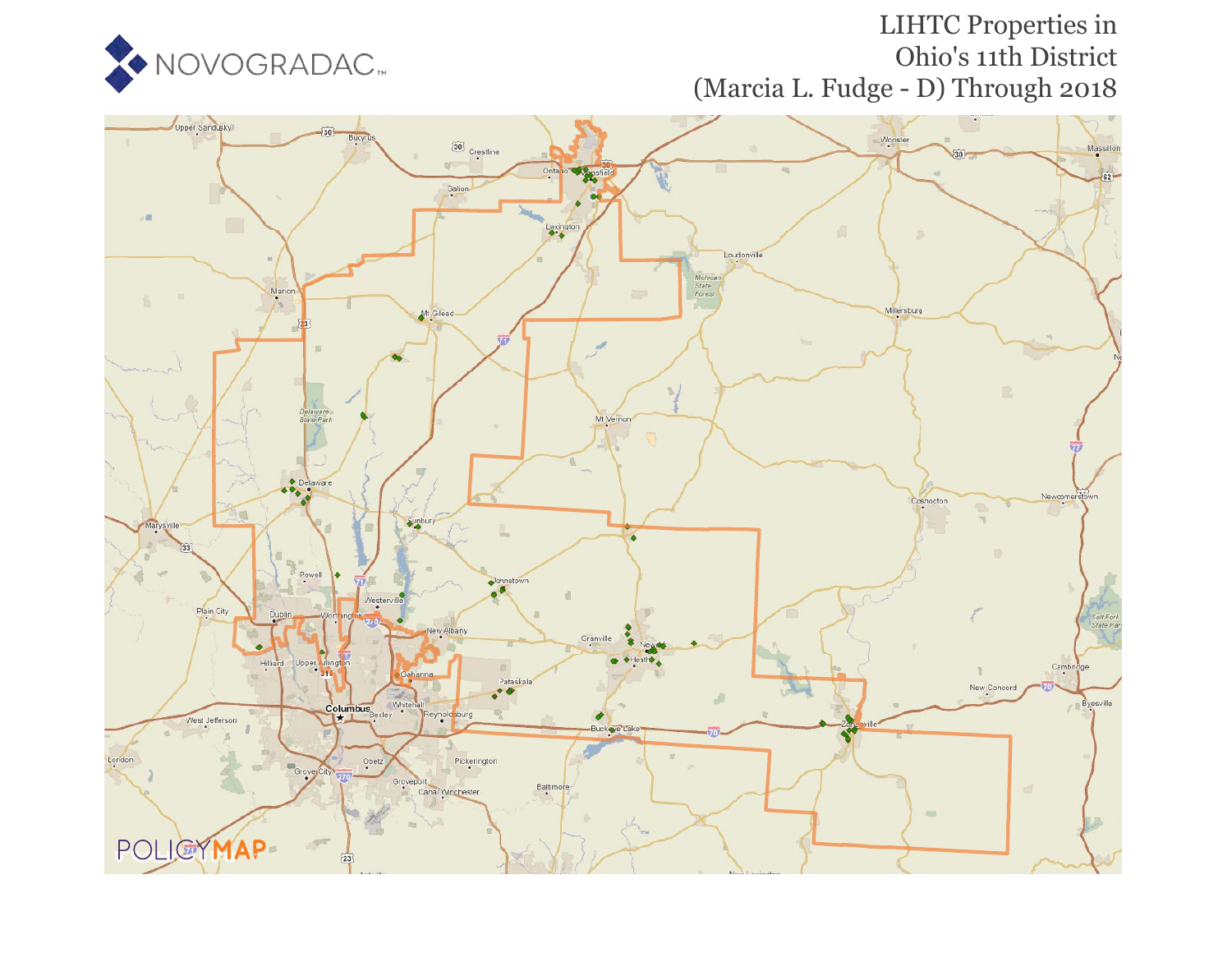

# LIHTC Properties in Ohio's 11th District (Marcia L. Fudge - D) Through 2018

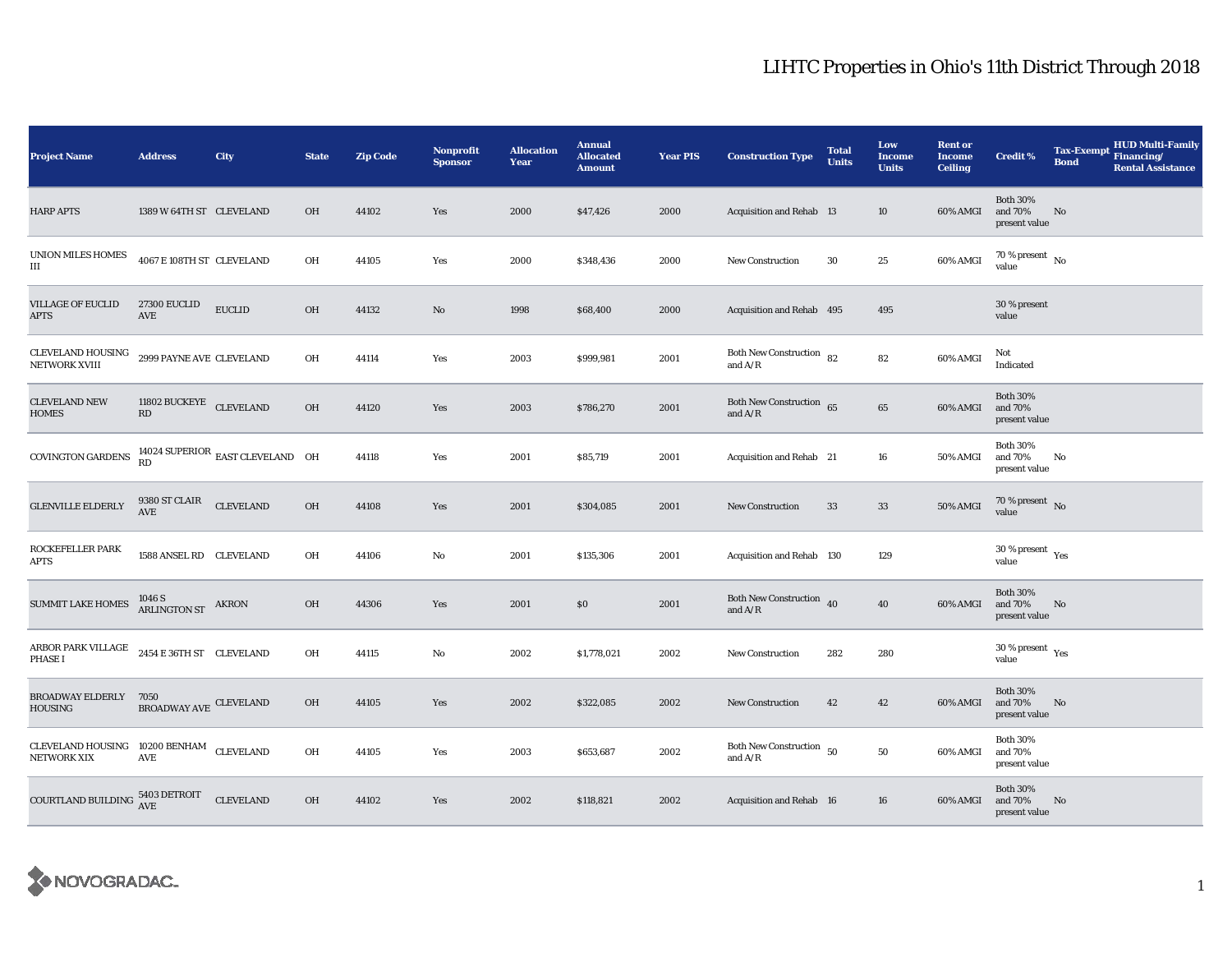| <b>Project Name</b>                                            | <b>Address</b>                       | City                                | <b>State</b> | <b>Zip Code</b> | Nonprofit<br><b>Sponsor</b> | <b>Allocation</b><br>Year | <b>Annual</b><br><b>Allocated</b><br><b>Amount</b> | <b>Year PIS</b> | <b>Construction Type</b>                | <b>Total</b><br><b>Units</b> | Low<br><b>Income</b><br><b>Units</b> | <b>Rent or</b><br><b>Income</b><br><b>Ceiling</b> | <b>Credit %</b>                                      | <b>Tax-Exempt</b><br><b>Bond</b> | <b>HUD Multi-Family</b><br>Financing/<br><b>Rental Assistance</b> |
|----------------------------------------------------------------|--------------------------------------|-------------------------------------|--------------|-----------------|-----------------------------|---------------------------|----------------------------------------------------|-----------------|-----------------------------------------|------------------------------|--------------------------------------|---------------------------------------------------|------------------------------------------------------|----------------------------------|-------------------------------------------------------------------|
| <b>HARP APTS</b>                                               | 1389 W 64TH ST CLEVELAND             |                                     | OH           | 44102           | Yes                         | 2000                      | \$47,426                                           | 2000            | Acquisition and Rehab 13                |                              | 10                                   | 60% AMGI                                          | <b>Both 30%</b><br>and 70%<br>present value          | $\mathbf{No}$                    |                                                                   |
| UNION MILES HOMES<br>Ш                                         | 4067 E 108TH ST CLEVELAND            |                                     | OH           | 44105           | Yes                         | 2000                      | \$348,436                                          | 2000            | <b>New Construction</b>                 | 30                           | 25                                   | 60% AMGI                                          | 70 % present $\hbox{~No}$<br>value                   |                                  |                                                                   |
| <b>VILLAGE OF EUCLID</b><br><b>APTS</b>                        | <b>27300 EUCLID</b><br>AVE           | <b>EUCLID</b>                       | OH           | 44132           | No                          | 1998                      | \$68,400                                           | 2000            | Acquisition and Rehab 495               |                              | 495                                  |                                                   | 30 % present<br>value                                |                                  |                                                                   |
| CLEVELAND HOUSING<br>NETWORK XVIII                             | 2999 PAYNE AVE CLEVELAND             |                                     | OH           | 44114           | Yes                         | 2003                      | \$999,981                                          | 2001            | Both New Construction 82<br>and $A/R$   |                              | 82                                   | 60% AMGI                                          | Not<br>Indicated                                     |                                  |                                                                   |
| <b>CLEVELAND NEW</b><br><b>HOMES</b>                           | 11802 BUCKEYE CLEVELAND<br>RD        |                                     | OH           | 44120           | Yes                         | 2003                      | \$786,270                                          | 2001            | Both New Construction 65<br>and $A/R$   |                              | 65                                   | 60% AMGI                                          | <b>Both 30%</b><br>and 70%<br>present value          |                                  |                                                                   |
| COVINGTON GARDENS                                              |                                      | 14024 SUPERIOR EAST CLEVELAND OH RD |              | 44118           | Yes                         | 2001                      | \$85,719                                           | 2001            | Acquisition and Rehab 21                |                              | 16                                   | <b>50% AMGI</b>                                   | <b>Both 30%</b><br>and 70%<br>present value          | No                               |                                                                   |
| <b>GLENVILLE ELDERLY</b>                                       | 9380 ST CLAIR CLEVELAND<br>AVE       |                                     | OH           | 44108           | Yes                         | 2001                      | \$304,085                                          | 2001            | <b>New Construction</b>                 | 33                           | $33\,$                               | <b>50% AMGI</b>                                   | $70$ % present $\,$ No $\,$<br>value                 |                                  |                                                                   |
| ROCKEFELLER PARK<br><b>APTS</b>                                | 1588 ANSEL RD CLEVELAND              |                                     | OH           | 44106           | No                          | 2001                      | \$135,306                                          | 2001            | Acquisition and Rehab 130               |                              | 129                                  |                                                   | $30$ % present $\,$ $\rm Yes$<br>value               |                                  |                                                                   |
| <b>SUMMIT LAKE HOMES</b>                                       | $1046$ S $$\sf ARLINGTON\;ST$$ AKRON |                                     | <b>OH</b>    | 44306           | Yes                         | 2001                      | $\$0$                                              | 2001            | Both New Construction 40<br>and $A/R$   |                              | 40                                   | 60% AMGI                                          | <b>Both 30%</b><br>and 70%<br>present value          | No                               |                                                                   |
| ARBOR PARK VILLAGE<br><b>PHASE I</b>                           | 2454 E 36TH ST CLEVELAND             |                                     | OH           | 44115           | No                          | 2002                      | \$1,778,021                                        | 2002            | <b>New Construction</b>                 | 282                          | 280                                  |                                                   | 30 % present $\rm\thinspace\gamma_{\rm es}$<br>value |                                  |                                                                   |
| BROADWAY ELDERLY 7050<br><b>HOUSING</b>                        | BROADWAY AVE CLEVELAND               |                                     | OH           | 44105           | Yes                         | 2002                      | \$322,085                                          | 2002            | <b>New Construction</b>                 | 42                           | 42                                   | 60% AMGI                                          | <b>Both 30%</b><br>and 70%<br>present value          | No                               |                                                                   |
| CLEVELAND HOUSING 10200 BENHAM CLEVELAND<br><b>NETWORK XIX</b> | AVE                                  |                                     | OH           | 44105           | Yes                         | 2003                      | \$653,687                                          | 2002            | Both New Construction $50$<br>and $A/R$ |                              | 50                                   | 60% AMGI                                          | <b>Both 30%</b><br>and 70%<br>present value          |                                  |                                                                   |
| COURTLAND BUILDING $^{5403}_{\rm{AVE}}$                        |                                      | <b>CLEVELAND</b>                    | OH           | 44102           | Yes                         | 2002                      | \$118,821                                          | 2002            | Acquisition and Rehab 16                |                              | 16                                   | 60% AMGI                                          | <b>Both 30%</b><br>and 70%<br>present value          | No                               |                                                                   |

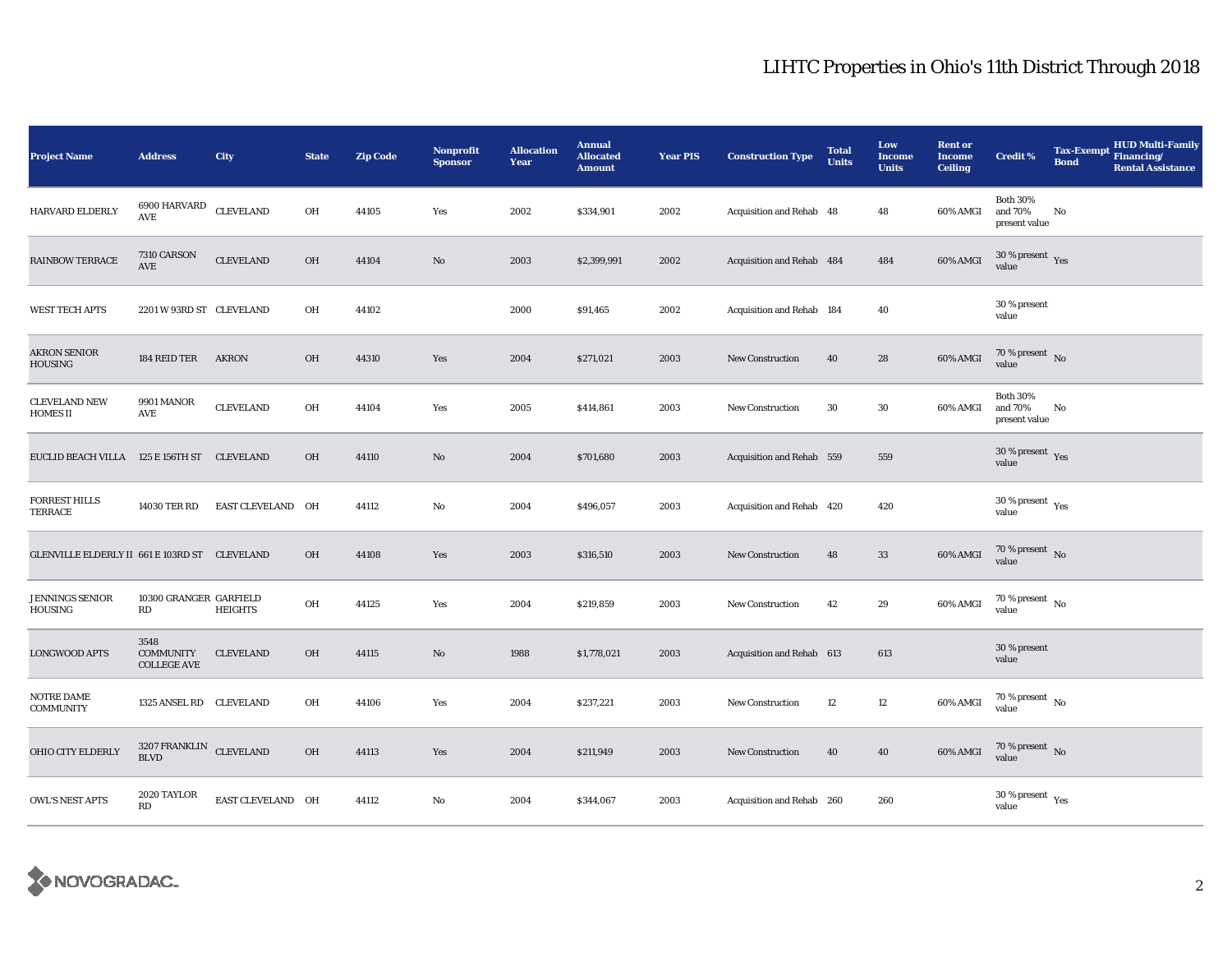| <b>Project Name</b>                           | <b>Address</b>                                          | City              | <b>State</b> | <b>Zip Code</b> | <b>Nonprofit</b><br><b>Sponsor</b> | <b>Allocation</b><br>Year | <b>Annual</b><br><b>Allocated</b><br><b>Amount</b> | <b>Year PIS</b> | <b>Construction Type</b>  | <b>Total</b><br><b>Units</b> | Low<br><b>Income</b><br><b>Units</b> | <b>Rent or</b><br><b>Income</b><br><b>Ceiling</b> | <b>Credit %</b>                                       | <b>Tax-Exempt</b><br><b>Bond</b> | <b>HUD Multi-Family</b><br>Financing/<br><b>Rental Assistance</b> |
|-----------------------------------------------|---------------------------------------------------------|-------------------|--------------|-----------------|------------------------------------|---------------------------|----------------------------------------------------|-----------------|---------------------------|------------------------------|--------------------------------------|---------------------------------------------------|-------------------------------------------------------|----------------------------------|-------------------------------------------------------------------|
| <b>HARVARD ELDERLY</b>                        | 6900 HARVARD CLEVELAND<br>$\operatorname{\mathsf{AVE}}$ |                   | OH           | 44105           | Yes                                | 2002                      | \$334,901                                          | 2002            | Acquisition and Rehab 48  |                              | 48                                   | 60% AMGI                                          | <b>Both 30%</b><br>and 70%<br>present value           | No                               |                                                                   |
| <b>RAINBOW TERRACE</b>                        | 7310 CARSON<br>AVE                                      | <b>CLEVELAND</b>  | OH           | 44104           | $\mathbf{No}$                      | 2003                      | \$2,399,991                                        | 2002            | Acquisition and Rehab 484 |                              | 484                                  | 60% AMGI                                          | $30$ % present $\,$ $\rm Yes$<br>value                |                                  |                                                                   |
| <b>WEST TECH APTS</b>                         | 2201 W 93RD ST CLEVELAND                                |                   | OH           | 44102           |                                    | 2000                      | \$91,465                                           | 2002            | Acquisition and Rehab 184 |                              | 40                                   |                                                   | 30 % present<br>value                                 |                                  |                                                                   |
| <b>AKRON SENIOR</b><br><b>HOUSING</b>         | 184 REID TER                                            | AKRON             | OH           | 44310           | Yes                                | 2004                      | \$271,021                                          | 2003            | New Construction          | 40                           | 28                                   | 60% AMGI                                          | 70 % present $\hbox{~No}$<br>value                    |                                  |                                                                   |
| <b>CLEVELAND NEW</b><br><b>HOMES II</b>       | <b>9901 MANOR</b><br>AVE                                | <b>CLEVELAND</b>  | OH           | 44104           | Yes                                | 2005                      | \$414,861                                          | 2003            | <b>New Construction</b>   | 30                           | 30                                   | 60% AMGI                                          | <b>Both 30%</b><br>and 70%<br>present value           | No                               |                                                                   |
| EUCLID BEACH VILLA 125 E 156TH ST CLEVELAND   |                                                         |                   | OH           | 44110           | $\mathbf{No}$                      | 2004                      | \$701,680                                          | 2003            | Acquisition and Rehab 559 |                              | 559                                  |                                                   | $30\,\%$ present $\,$ Yes value                       |                                  |                                                                   |
| FORREST HILLS<br>TERRACE                      | 14030 TER RD                                            | EAST CLEVELAND OH |              | 44112           | No                                 | 2004                      | \$496,057                                          | 2003            | Acquisition and Rehab 420 |                              | 420                                  |                                                   | $30\,\%$ present $\,$ Yes value                       |                                  |                                                                   |
| GLENVILLE ELDERLY II 661 E 103RD ST CLEVELAND |                                                         |                   | OH           | 44108           | Yes                                | 2003                      | \$316,510                                          | 2003            | New Construction          | 48                           | $33\,$                               | 60% AMGI                                          | $70$ % present $${\rm No}$$ value                     |                                  |                                                                   |
| <b>JENNINGS SENIOR</b><br>HOUSING             | 10300 GRANGER GARFIELD<br>RD                            | <b>HEIGHTS</b>    | OH           | 44125           | Yes                                | 2004                      | \$219,859                                          | 2003            | New Construction          | 42                           | 29                                   | 60% AMGI                                          | $70$ % present $\,$ No $\,$<br>value                  |                                  |                                                                   |
| <b>LONGWOOD APTS</b>                          | 3548<br><b>COMMUNITY</b><br><b>COLLEGE AVE</b>          | <b>CLEVELAND</b>  | OH           | 44115           | $\mathbf{No}$                      | 1988                      | \$1,778,021                                        | 2003            | Acquisition and Rehab 613 |                              | 613                                  |                                                   | 30 % present<br>value                                 |                                  |                                                                   |
| NOTRE DAME<br><b>COMMUNITY</b>                | 1325 ANSEL RD CLEVELAND                                 |                   | OH           | 44106           | Yes                                | 2004                      | \$237,221                                          | 2003            | <b>New Construction</b>   | 12                           | $12\,$                               | 60% AMGI                                          | $70\,\%$ present $\,$ No value                        |                                  |                                                                   |
| OHIO CITY ELDERLY                             | $3207\,$ FRANKLIN $\,$ CLEVELAND<br><b>BLVD</b>         |                   | OH           | 44113           | Yes                                | 2004                      | \$211,949                                          | 2003            | New Construction          | 40                           | 40                                   | 60% AMGI                                          | $70\,\%$ present $\,$ No value                        |                                  |                                                                   |
| <b>OWL'S NEST APTS</b>                        | 2020 TAYLOR<br>RD                                       | EAST CLEVELAND OH |              | 44112           | $\mathbf{No}$                      | 2004                      | \$344,067                                          | 2003            | Acquisition and Rehab 260 |                              | 260                                  |                                                   | 30 % present $\rm\thinspace\gamma_{\rm e s}$<br>value |                                  |                                                                   |

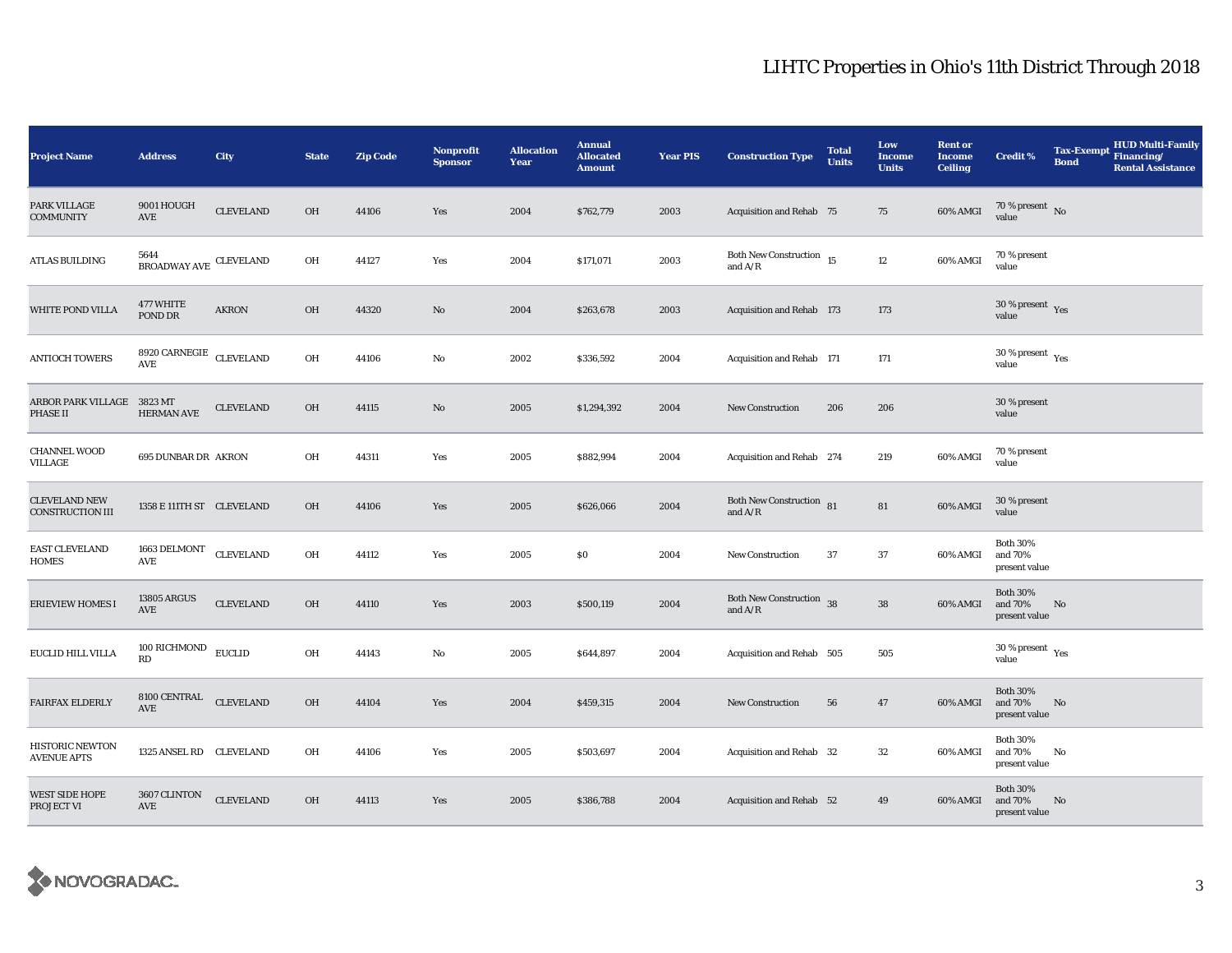| <b>Project Name</b>                             | <b>Address</b>                               | City             | <b>State</b> | <b>Zip Code</b> | <b>Nonprofit</b><br><b>Sponsor</b> | <b>Allocation</b><br>Year | <b>Annual</b><br><b>Allocated</b><br><b>Amount</b> | <b>Year PIS</b> | <b>Construction Type</b>              | <b>Total</b><br><b>Units</b> | Low<br><b>Income</b><br><b>Units</b> | <b>Rent or</b><br><b>Income</b><br><b>Ceiling</b> | <b>Credit %</b>                                      | <b>Tax-Exempt</b><br><b>Bond</b> | HUD Multi-Family<br>Financing/<br><b>Rental Assistance</b> |
|-------------------------------------------------|----------------------------------------------|------------------|--------------|-----------------|------------------------------------|---------------------------|----------------------------------------------------|-----------------|---------------------------------------|------------------------------|--------------------------------------|---------------------------------------------------|------------------------------------------------------|----------------------------------|------------------------------------------------------------|
| PARK VILLAGE<br><b>COMMUNITY</b>                | 9001 HOUGH<br>AVE                            | <b>CLEVELAND</b> | <b>OH</b>    | 44106           | Yes                                | 2004                      | \$762,779                                          | 2003            | <b>Acquisition and Rehab 75</b>       |                              | 75                                   | 60% AMGI                                          | 70 % present $\,$ No $\,$<br>value                   |                                  |                                                            |
| ATLAS BUILDING                                  | $\texttt{BROADWAY}$ AVE $\texttt{CLEVELAND}$ |                  | OH           | 44127           | Yes                                | 2004                      | \$171,071                                          | 2003            | Both New Construction 15<br>and $A/R$ |                              | $12\,$                               | 60% AMGI                                          | 70 % present<br>value                                |                                  |                                                            |
| WHITE POND VILLA                                | 477 WHITE<br>POND DR                         | <b>AKRON</b>     | OH           | 44320           | No                                 | 2004                      | \$263,678                                          | 2003            | Acquisition and Rehab 173             |                              | 173                                  |                                                   | $30$ % present $\,$ $\rm Yes$<br>value               |                                  |                                                            |
| <b>ANTIOCH TOWERS</b>                           | $8920$ CARNEGIE $\,$ CLEVELAND<br>AVE        |                  | OH           | 44106           | No                                 | 2002                      | \$336,592                                          | 2004            | Acquisition and Rehab 171             |                              | 171                                  |                                                   | $30$ % present $\,$ $\rm Yes$<br>value               |                                  |                                                            |
| ARBOR PARK VILLAGE 3823 MT<br>PHASE II          | <b>HERMAN AVE</b>                            | <b>CLEVELAND</b> | OH           | 44115           | No                                 | 2005                      | \$1,294,392                                        | 2004            | <b>New Construction</b>               | 206                          | 206                                  |                                                   | 30 % present<br>value                                |                                  |                                                            |
| <b>CHANNEL WOOD</b><br>VILLAGE                  | 695 DUNBAR DR AKRON                          |                  | OH           | 44311           | Yes                                | 2005                      | \$882,994                                          | 2004            | Acquisition and Rehab 274             |                              | 219                                  | 60% AMGI                                          | 70 % present<br>value                                |                                  |                                                            |
| <b>CLEVELAND NEW</b><br><b>CONSTRUCTION III</b> | 1358 E 111TH ST CLEVELAND                    |                  | OH           | 44106           | Yes                                | 2005                      | \$626,066                                          | 2004            | Both New Construction 81<br>and $A/R$ |                              | 81                                   | 60% AMGI                                          | 30 % present<br>value                                |                                  |                                                            |
| <b>EAST CLEVELAND</b><br>HOMES                  | 1663 DELMONT<br><b>AVE</b>                   | CLEVELAND        | OH           | 44112           | Yes                                | 2005                      | \$0\$                                              | 2004            | <b>New Construction</b>               | 37                           | 37                                   | 60% AMGI                                          | <b>Both 30%</b><br>and 70%<br>present value          |                                  |                                                            |
| <b>ERIEVIEW HOMES I</b>                         | 13805 ARGUS<br>AVE                           | <b>CLEVELAND</b> | $\rm OH$     | 44110           | Yes                                | 2003                      | \$500,119                                          | 2004            | Both New Construction 38<br>and $A/R$ |                              | ${\bf 38}$                           | 60% AMGI                                          | <b>Both 30%</b><br>and 70%<br>present value          | No                               |                                                            |
| EUCLID HILL VILLA                               | 100 RICHMOND EUCLID<br>RD                    |                  | OH           | 44143           | No                                 | 2005                      | \$644,897                                          | 2004            | Acquisition and Rehab 505             |                              | 505                                  |                                                   | 30 % present $\rm\thinspace\gamma_{\rm es}$<br>value |                                  |                                                            |
| <b>FAIRFAX ELDERLY</b>                          | 8100 CENTRAL CLEVELAND<br><b>AVE</b>         |                  | OH           | 44104           | Yes                                | 2004                      | \$459,315                                          | 2004            | <b>New Construction</b>               | 56                           | 47                                   | 60% AMGI                                          | <b>Both 30%</b><br>and 70%<br>present value          | $\mathbf{N}\mathbf{o}$           |                                                            |
| <b>HISTORIC NEWTON</b><br><b>AVENUE APTS</b>    | 1325 ANSEL RD CLEVELAND                      |                  | OH           | 44106           | Yes                                | 2005                      | \$503,697                                          | 2004            | Acquisition and Rehab 32              |                              | 32                                   | 60% AMGI                                          | <b>Both 30%</b><br>and 70%<br>present value          | No                               |                                                            |
| <b>WEST SIDE HOPE</b><br>PROJECT VI             | 3607 CLINTON<br>$\operatorname{AVE}$         | <b>CLEVELAND</b> | OH           | 44113           | Yes                                | 2005                      | \$386,788                                          | 2004            | Acquisition and Rehab 52              |                              | 49                                   | 60% AMGI                                          | <b>Both 30%</b><br>and 70%<br>present value          | No                               |                                                            |

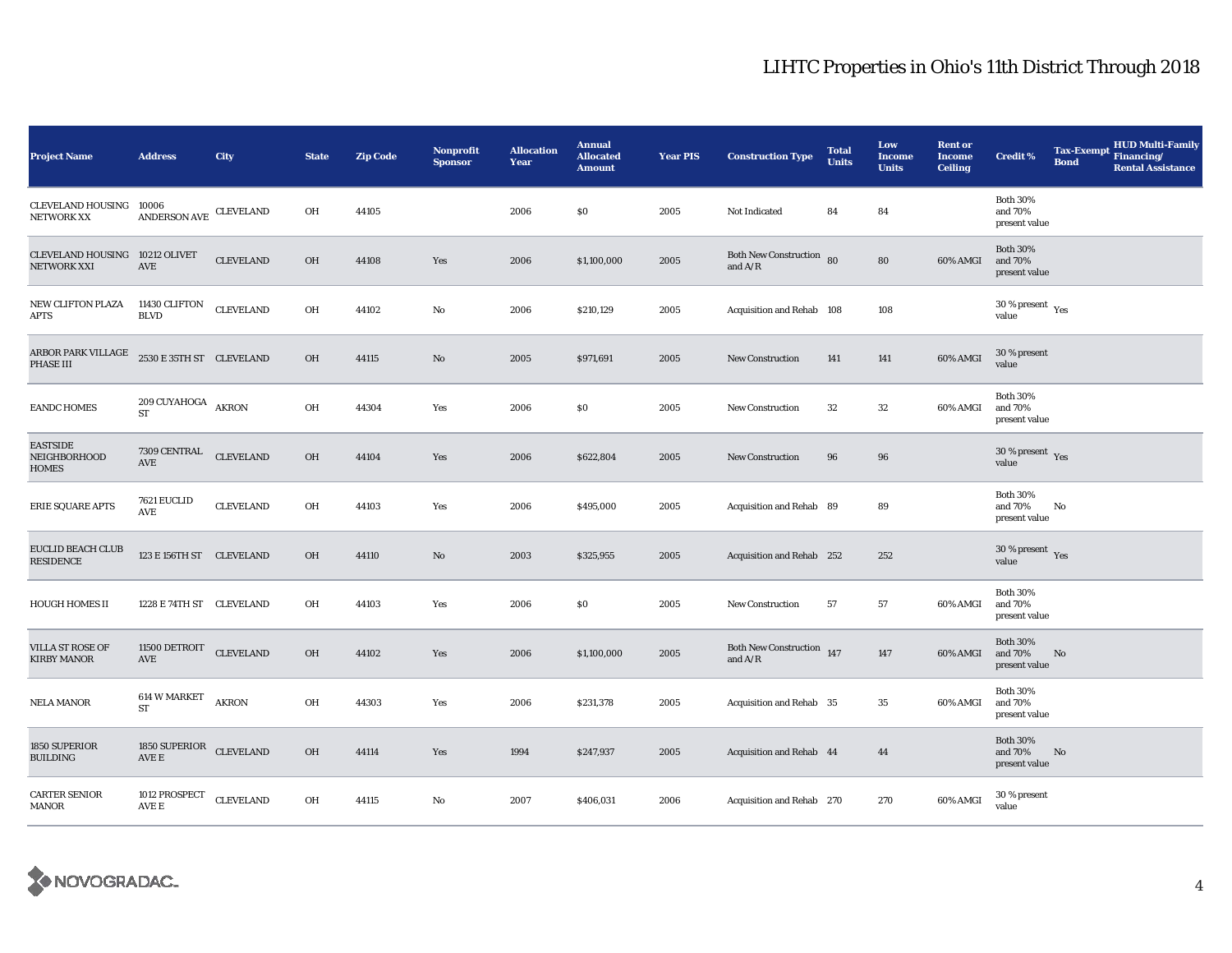| <b>Project Name</b>                             | <b>Address</b>                                          | City             | <b>State</b> | <b>Zip Code</b> | <b>Nonprofit</b><br><b>Sponsor</b> | <b>Allocation</b><br>Year | <b>Annual</b><br><b>Allocated</b><br><b>Amount</b> | <b>Year PIS</b> | <b>Construction Type</b>               | <b>Total</b><br><b>Units</b> | Low<br><b>Income</b><br><b>Units</b> | <b>Rent or</b><br><b>Income</b><br><b>Ceiling</b> | <b>Credit %</b>                             | <b>Tax-Exempt</b><br><b>Bond</b> | <b>HUD Multi-Family</b><br>Financing/<br><b>Rental Assistance</b> |
|-------------------------------------------------|---------------------------------------------------------|------------------|--------------|-----------------|------------------------------------|---------------------------|----------------------------------------------------|-----------------|----------------------------------------|------------------------------|--------------------------------------|---------------------------------------------------|---------------------------------------------|----------------------------------|-------------------------------------------------------------------|
| CLEVELAND HOUSING 10006<br><b>NETWORK XX</b>    | ${\large\bf ANDERSON\ AVE} \quad {\large\bf CLEVELAND}$ |                  | OH           | 44105           |                                    | 2006                      | \$0                                                | 2005            | Not Indicated                          | 84                           | 84                                   |                                                   | <b>Both 30%</b><br>and 70%<br>present value |                                  |                                                                   |
| CLEVELAND HOUSING 10212 OLIVET<br>NETWORK XXI   | AVE                                                     | <b>CLEVELAND</b> | OH           | 44108           | Yes                                | 2006                      | \$1,100,000                                        | 2005            | Both New Construction 80<br>and $A/R$  |                              | 80                                   | 60% AMGI                                          | <b>Both 30%</b><br>and 70%<br>present value |                                  |                                                                   |
| NEW CLIFTON PLAZA<br>APTS                       | $11430$ CLIFTON $\,$<br><b>BLVD</b>                     | <b>CLEVELAND</b> | OH           | 44102           | No                                 | 2006                      | \$210,129                                          | 2005            | Acquisition and Rehab 108              |                              | 108                                  |                                                   | 30 % present $\rm\,Yes$<br>value            |                                  |                                                                   |
| ARBOR PARK VILLAGE<br>PHASE III                 | 2530 E 35TH ST CLEVELAND                                |                  | OH           | 44115           | No                                 | 2005                      | \$971,691                                          | 2005            | New Construction                       | 141                          | 141                                  | 60% AMGI                                          | 30 % present<br>value                       |                                  |                                                                   |
| <b>EANDC HOMES</b>                              | $209$ CUYAHOGA $\,$ AKRON<br><b>ST</b>                  |                  | OH           | 44304           | Yes                                | 2006                      | \$0                                                | 2005            | <b>New Construction</b>                | 32                           | $32\,$                               | 60% AMGI                                          | <b>Both 30%</b><br>and 70%<br>present value |                                  |                                                                   |
| <b>EASTSIDE</b><br>NEIGHBORHOOD<br><b>HOMES</b> | 7309 CENTRAL CLEVELAND<br>AVE                           |                  | OH           | 44104           | Yes                                | 2006                      | \$622,804                                          | 2005            | <b>New Construction</b>                | 96                           | ${\bf 96}$                           |                                                   | 30 % present $\gamma_{\rm e s}$<br>value    |                                  |                                                                   |
| <b>ERIE SQUARE APTS</b>                         | 7621 EUCLID<br>AVE                                      | <b>CLEVELAND</b> | OH           | 44103           | Yes                                | 2006                      | \$495,000                                          | 2005            | Acquisition and Rehab 89               |                              | 89                                   |                                                   | <b>Both 30%</b><br>and 70%<br>present value | No                               |                                                                   |
| EUCLID BEACH CLUB<br>RESIDENCE                  | 123 E 156TH ST CLEVELAND                                |                  | OH           | 44110           | No                                 | 2003                      | \$325,955                                          | 2005            | Acquisition and Rehab 252              |                              | 252                                  |                                                   | $30\,\%$ present $\,$ Yes value             |                                  |                                                                   |
| <b>HOUGH HOMES II</b>                           | 1228 E 74TH ST CLEVELAND                                |                  | OH           | 44103           | Yes                                | 2006                      | \$0                                                | 2005            | New Construction                       | 57                           | 57                                   | 60% AMGI                                          | <b>Both 30%</b><br>and 70%<br>present value |                                  |                                                                   |
| VILLA ST ROSE OF<br><b>KIRBY MANOR</b>          | 11500 DETROIT<br>AVE                                    | <b>CLEVELAND</b> | OH           | 44102           | Yes                                | 2006                      | \$1,100,000                                        | 2005            | Both New Construction 147<br>and $A/R$ |                              | 147                                  | 60% AMGI                                          | <b>Both 30%</b><br>and 70%<br>present value | No                               |                                                                   |
| <b>NELA MANOR</b>                               | 614 W MARKET<br>ST                                      | <b>AKRON</b>     | OH           | 44303           | Yes                                | 2006                      | \$231,378                                          | 2005            | Acquisition and Rehab 35               |                              | 35                                   | 60% AMGI                                          | <b>Both 30%</b><br>and 70%<br>present value |                                  |                                                                   |
| 1850 SUPERIOR<br><b>BUILDING</b>                | 1850 SUPERIOR CLEVELAND<br>AVE E                        |                  | OH           | 44114           | Yes                                | 1994                      | \$247,937                                          | 2005            | Acquisition and Rehab 44               |                              | 44                                   |                                                   | <b>Both 30%</b><br>and 70%<br>present value | No                               |                                                                   |
| <b>CARTER SENIOR</b><br>MANOR                   | 1012 PROSPECT<br>AVE E                                  | CLEVELAND        | OH           | 44115           | No                                 | 2007                      | \$406,031                                          | 2006            | Acquisition and Rehab 270              |                              | 270                                  | 60% AMGI                                          | 30 % present<br>value                       |                                  |                                                                   |

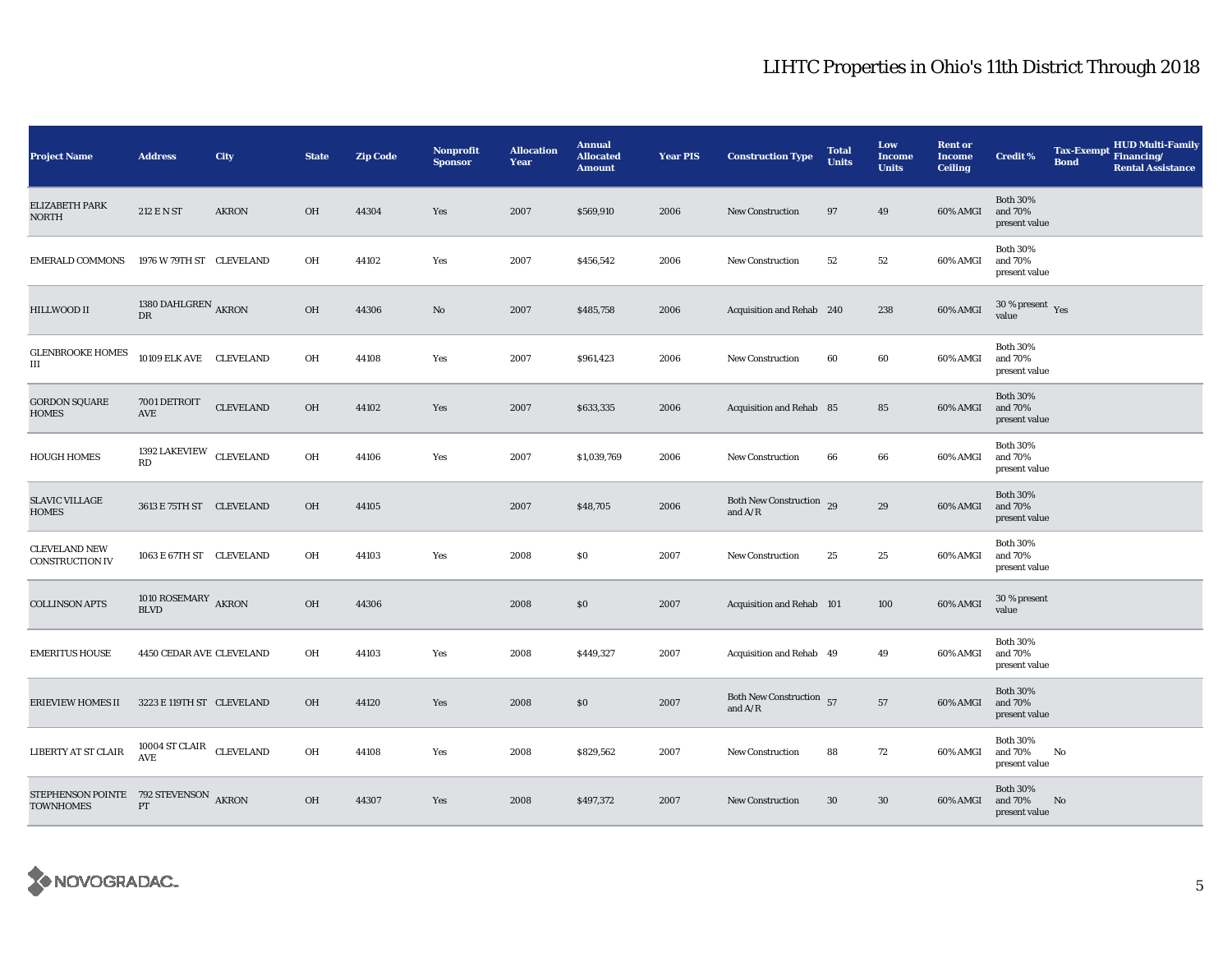| <b>Project Name</b>                                       | <b>Address</b>                             | <b>City</b>      | <b>State</b> | <b>Zip Code</b> | <b>Nonprofit</b><br><b>Sponsor</b> | <b>Allocation</b><br>Year | <b>Annual</b><br><b>Allocated</b><br><b>Amount</b> | <b>Year PIS</b> | <b>Construction Type</b>              | <b>Total</b><br><b>Units</b> | Low<br><b>Income</b><br><b>Units</b> | <b>Rent or</b><br><b>Income</b><br><b>Ceiling</b> | <b>Credit %</b>                             | <b>Tax-Exempt</b><br><b>Bond</b> | <b>HUD Multi-Family</b><br>Financing/<br><b>Rental Assistance</b> |
|-----------------------------------------------------------|--------------------------------------------|------------------|--------------|-----------------|------------------------------------|---------------------------|----------------------------------------------------|-----------------|---------------------------------------|------------------------------|--------------------------------------|---------------------------------------------------|---------------------------------------------|----------------------------------|-------------------------------------------------------------------|
| ELIZABETH PARK<br>NORTH                                   | 212 E N ST                                 | <b>AKRON</b>     | 0H           | 44304           | Yes                                | 2007                      | \$569,910                                          | 2006            | New Construction                      | 97                           | 49                                   | 60% AMGI                                          | <b>Both 30%</b><br>and 70%<br>present value |                                  |                                                                   |
| <b>EMERALD COMMONS</b>                                    | 1976 W 79TH ST CLEVELAND                   |                  | OH           | 44102           | Yes                                | 2007                      | \$456,542                                          | 2006            | <b>New Construction</b>               | 52                           | 52                                   | 60% AMGI                                          | <b>Both 30%</b><br>and 70%<br>present value |                                  |                                                                   |
| HILLWOOD II                                               | 1380 DAHLGREN $_{\rm AKRON}$<br>${\rm DR}$ |                  | OH           | 44306           | No                                 | 2007                      | \$485,758                                          | 2006            | Acquisition and Rehab 240             |                              | 238                                  | 60% AMGI                                          | $30\,\%$ present $\,$ Yes value             |                                  |                                                                   |
| <b>GLENBROOKE HOMES</b><br>Ш                              | 10109 ELK AVE CLEVELAND                    |                  | OH           | 44108           | Yes                                | 2007                      | \$961,423                                          | 2006            | <b>New Construction</b>               | 60                           | 60                                   | 60% AMGI                                          | <b>Both 30%</b><br>and 70%<br>present value |                                  |                                                                   |
| <b>GORDON SQUARE</b><br><b>HOMES</b>                      | 7001 DETROIT<br>AVE                        | <b>CLEVELAND</b> | OH           | 44102           | Yes                                | 2007                      | \$633,335                                          | 2006            | Acquisition and Rehab 85              |                              | 85                                   | 60% AMGI                                          | <b>Both 30%</b><br>and 70%<br>present value |                                  |                                                                   |
| <b>HOUGH HOMES</b>                                        | 1392 LAKEVIEW CLEVELAND<br>RD              |                  | OH           | 44106           | Yes                                | 2007                      | \$1,039,769                                        | 2006            | <b>New Construction</b>               | 66                           | 66                                   | 60% AMGI                                          | <b>Both 30%</b><br>and 70%<br>present value |                                  |                                                                   |
| <b>SLAVIC VILLAGE</b><br><b>HOMES</b>                     | 3613 E 75TH ST CLEVELAND                   |                  | OH           | 44105           |                                    | 2007                      | \$48,705                                           | 2006            | Both New Construction 29<br>and $A/R$ |                              | 29                                   | 60% AMGI                                          | <b>Both 30%</b><br>and 70%<br>present value |                                  |                                                                   |
| <b>CLEVELAND NEW</b><br><b>CONSTRUCTION IV</b>            | 1063 E 67TH ST CLEVELAND                   |                  | OH           | 44103           | Yes                                | 2008                      | \$0                                                | 2007            | New Construction                      | 25                           | 25                                   | 60% AMGI                                          | <b>Both 30%</b><br>and 70%<br>present value |                                  |                                                                   |
| <b>COLLINSON APTS</b>                                     | 1010 ROSEMARY AKRON<br><b>BLVD</b>         |                  | OH           | 44306           |                                    | 2008                      | \$0                                                | 2007            | <b>Acquisition and Rehab 101</b>      |                              | 100                                  | 60% AMGI                                          | 30 % present<br>value                       |                                  |                                                                   |
| <b>EMERITUS HOUSE</b>                                     | 4450 CEDAR AVE CLEVELAND                   |                  | OH           | 44103           | Yes                                | 2008                      | \$449,327                                          | 2007            | Acquisition and Rehab 49              |                              | 49                                   | 60% AMGI                                          | <b>Both 30%</b><br>and 70%<br>present value |                                  |                                                                   |
| ERIEVIEW HOMES II                                         | 3223 E 119TH ST CLEVELAND                  |                  | 0H           | 44120           | Yes                                | 2008                      | \$0                                                | 2007            | Both New Construction 57<br>and $A/R$ |                              | $57\,$                               | 60% AMGI                                          | <b>Both 30%</b><br>and 70%<br>present value |                                  |                                                                   |
| LIBERTY AT ST CLAIR                                       | 10004 ST CLAIR CLEVELAND<br>AVE            |                  | OH           | 44108           | Yes                                | 2008                      | \$829,562                                          | 2007            | <b>New Construction</b>               | 88                           | 72                                   | 60% AMGI                                          | <b>Both 30%</b><br>and 70%<br>present value | No                               |                                                                   |
| STEPHENSON POINTE 792 STEVENSON AKRON<br><b>TOWNHOMES</b> | PT                                         |                  | OH           | 44307           | Yes                                | 2008                      | \$497,372                                          | 2007            | <b>New Construction</b>               | 30                           | 30                                   | 60% AMGI                                          | <b>Both 30%</b><br>and 70%<br>present value | No                               |                                                                   |

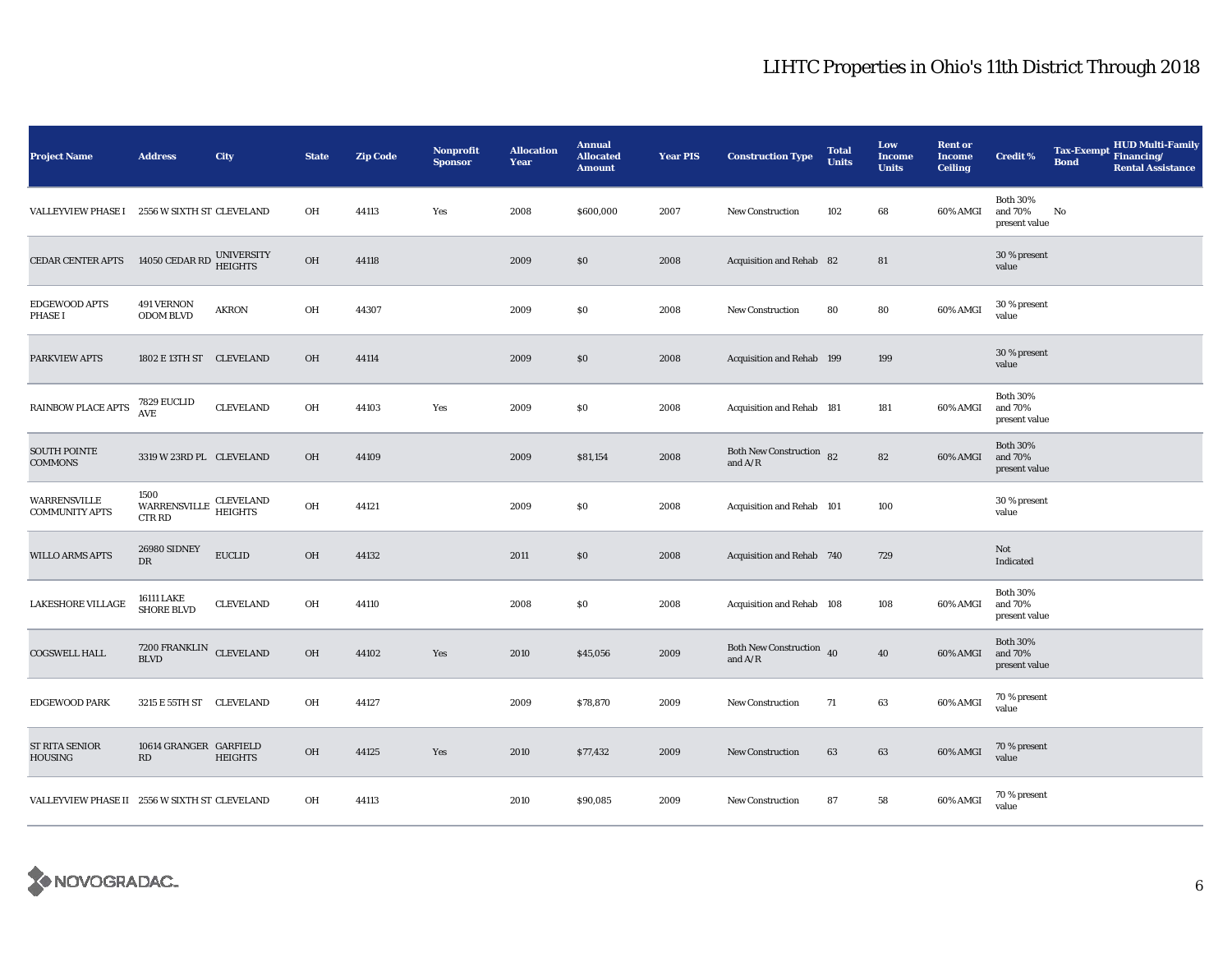| <b>Project Name</b>                           | <b>Address</b>                                | City                        | <b>State</b> | <b>Zip Code</b> | <b>Nonprofit</b><br><b>Sponsor</b> | <b>Allocation</b><br>Year | <b>Annual</b><br><b>Allocated</b><br><b>Amount</b> | <b>Year PIS</b> | <b>Construction Type</b>              | <b>Total</b><br><b>Units</b> | Low<br><b>Income</b><br><b>Units</b> | <b>Rent or</b><br><b>Income</b><br><b>Ceiling</b> | <b>Credit %</b>                             | Tax-Exempt Financing/<br><b>Bond</b> | <b>HUD Multi-Family</b><br><b>Rental Assistance</b> |
|-----------------------------------------------|-----------------------------------------------|-----------------------------|--------------|-----------------|------------------------------------|---------------------------|----------------------------------------------------|-----------------|---------------------------------------|------------------------------|--------------------------------------|---------------------------------------------------|---------------------------------------------|--------------------------------------|-----------------------------------------------------|
| VALLEYVIEW PHASE I 2556 W SIXTH ST CLEVELAND  |                                               |                             | OH           | 44113           | Yes                                | 2008                      | \$600,000                                          | 2007            | <b>New Construction</b>               | 102                          | 68                                   | 60% AMGI                                          | <b>Both 30%</b><br>and 70%<br>present value | No                                   |                                                     |
| CEDAR CENTER APTS                             | 14050 CEDAR RD UNIVERSITY<br>HEIGHTS          |                             | $\rm OH$     | 44118           |                                    | 2009                      | \$0                                                | 2008            | Acquisition and Rehab 82              |                              | 81                                   |                                                   | 30 % present<br>value                       |                                      |                                                     |
| <b>EDGEWOOD APTS</b><br>PHASE I               | 491 VERNON<br><b>ODOM BLVD</b>                | <b>AKRON</b>                | OH           | 44307           |                                    | 2009                      | \$0                                                | 2008            | <b>New Construction</b>               | 80                           | 80                                   | 60% AMGI                                          | 30 % present<br>value                       |                                      |                                                     |
| PARKVIEW APTS                                 | 1802 E 13TH ST CLEVELAND                      |                             | OH           | 44114           |                                    | 2009                      | \$0                                                | 2008            | Acquisition and Rehab 199             |                              | 199                                  |                                                   | 30 % present<br>value                       |                                      |                                                     |
| <b>RAINBOW PLACE APTS</b>                     | 7829 EUCLID<br><b>AVE</b>                     | <b>CLEVELAND</b>            | OH           | 44103           | Yes                                | 2009                      | $\$0$                                              | 2008            | Acquisition and Rehab 181             |                              | 181                                  | 60% AMGI                                          | <b>Both 30%</b><br>and 70%<br>present value |                                      |                                                     |
| <b>SOUTH POINTE</b><br>COMMONS                | 3319 W 23RD PL CLEVELAND                      |                             | OH           | 44109           |                                    | 2009                      | \$81,154                                           | 2008            | Both New Construction 82<br>and $A/R$ |                              | ${\bf 82}$                           | 60% AMGI                                          | <b>Both 30%</b><br>and 70%<br>present value |                                      |                                                     |
| WARRENSVILLE<br><b>COMMUNITY APTS</b>         | 1500<br><b>WARRENSVILLE</b><br><b>CTR RD</b>  | <b>CLEVELAND</b><br>HEIGHTS | OH           | 44121           |                                    | 2009                      | \$0                                                | 2008            | Acquisition and Rehab 101             |                              | 100                                  |                                                   | 30 % present<br>value                       |                                      |                                                     |
| <b>WILLO ARMS APTS</b>                        | 26980 SIDNEY<br>DR                            | <b>EUCLID</b>               | OH           | 44132           |                                    | 2011                      | \$0                                                | 2008            | Acquisition and Rehab 740             |                              | 729                                  |                                                   | Not<br>Indicated                            |                                      |                                                     |
| <b>LAKESHORE VILLAGE</b>                      | <b>16111 LAKE</b><br><b>SHORE BLVD</b>        | <b>CLEVELAND</b>            | OH           | 44110           |                                    | 2008                      | \$0                                                | 2008            | Acquisition and Rehab 108             |                              | 108                                  | 60% AMGI                                          | <b>Both 30%</b><br>and 70%<br>present value |                                      |                                                     |
| COGSWELL HALL                                 | $7200$ FRANKLIN $\,$ CLEVELAND<br><b>BLVD</b> |                             | OH           | 44102           | Yes                                | 2010                      | \$45,056                                           | 2009            | Both New Construction 40<br>and $A/R$ |                              | 40                                   | 60% AMGI                                          | <b>Both 30%</b><br>and 70%<br>present value |                                      |                                                     |
| <b>EDGEWOOD PARK</b>                          | 3215 E 55TH ST                                | <b>CLEVELAND</b>            | OH           | 44127           |                                    | 2009                      | \$78,870                                           | 2009            | <b>New Construction</b>               | 71                           | 63                                   | 60% AMGI                                          | 70 % present<br>value                       |                                      |                                                     |
| ST RITA SENIOR<br>HOUSING                     | 10614 GRANGER GARFIELD<br>RD                  | <b>HEIGHTS</b>              | OH           | 44125           | Yes                                | 2010                      | \$77,432                                           | 2009            | <b>New Construction</b>               | 63                           | 63                                   | 60% AMGI                                          | 70 % present<br>value                       |                                      |                                                     |
| VALLEYVIEW PHASE II 2556 W SIXTH ST CLEVELAND |                                               |                             | OH           | 44113           |                                    | 2010                      | \$90,085                                           | 2009            | <b>New Construction</b>               | 87                           | 58                                   | 60% AMGI                                          | 70 % present<br>value                       |                                      |                                                     |

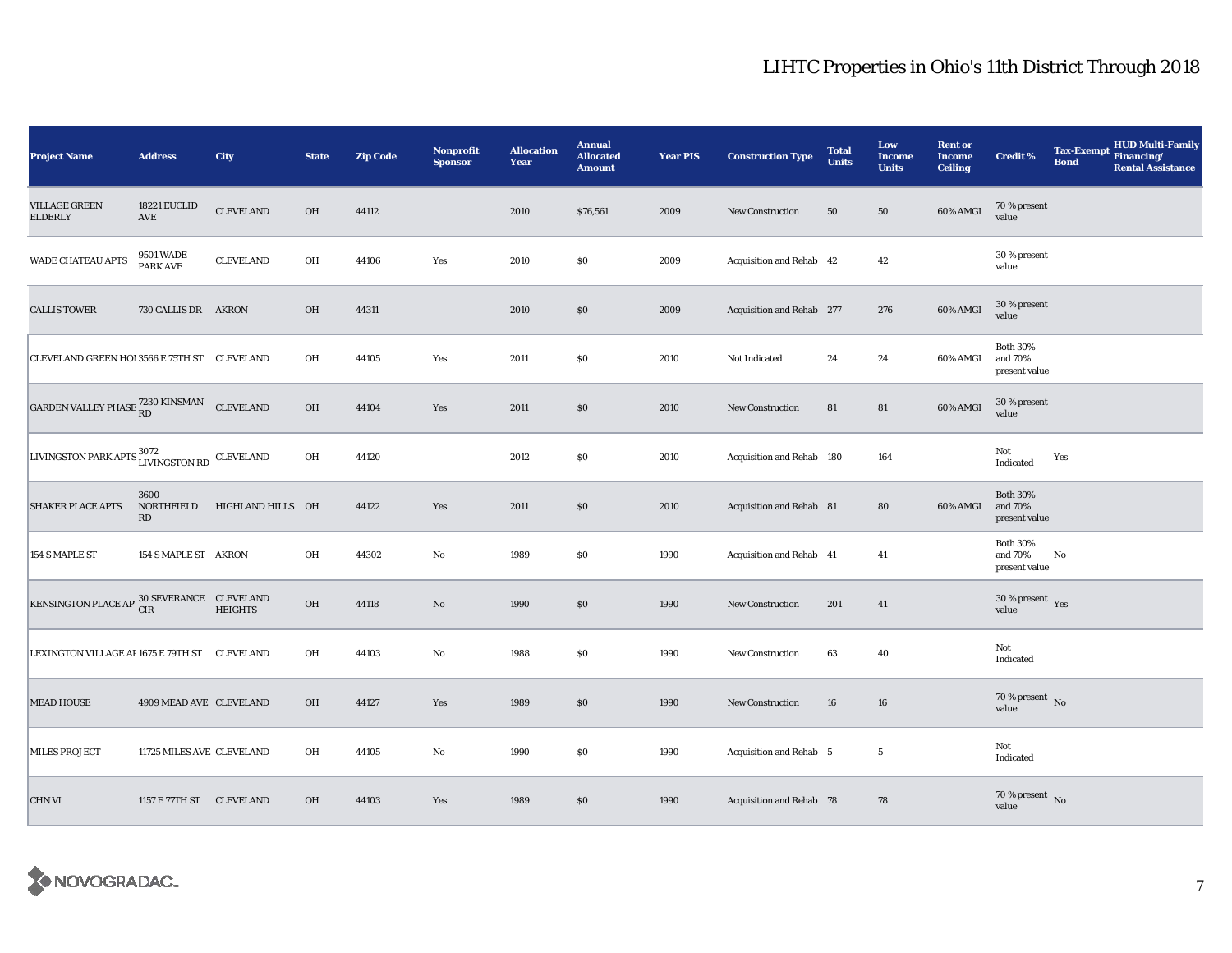| <b>Project Name</b>                                                                                                                                                                                   | <b>Address</b>                      | City              | <b>State</b> | <b>Zip Code</b> | <b>Nonprofit</b><br><b>Sponsor</b> | <b>Allocation</b><br>Year | <b>Annual</b><br><b>Allocated</b><br><b>Amount</b> | <b>Year PIS</b> | <b>Construction Type</b>        | <b>Total</b><br><b>Units</b> | Low<br><b>Income</b><br><b>Units</b> | <b>Rent or</b><br><b>Income</b><br><b>Ceiling</b> | <b>Credit %</b>                             | <b>Tax-Exempt</b><br><b>Bond</b> | <b>HUD Multi-Family</b><br>Financing/<br><b>Rental Assistance</b> |
|-------------------------------------------------------------------------------------------------------------------------------------------------------------------------------------------------------|-------------------------------------|-------------------|--------------|-----------------|------------------------------------|---------------------------|----------------------------------------------------|-----------------|---------------------------------|------------------------------|--------------------------------------|---------------------------------------------------|---------------------------------------------|----------------------------------|-------------------------------------------------------------------|
| <b>VILLAGE GREEN</b><br><b>ELDERLY</b>                                                                                                                                                                | 18221 EUCLID<br>AVE                 | <b>CLEVELAND</b>  | OH           | 44112           |                                    | 2010                      | \$76,561                                           | 2009            | New Construction                | 50                           | 50                                   | 60% AMGI                                          | 70 % present<br>value                       |                                  |                                                                   |
| WADE CHATEAU APTS                                                                                                                                                                                     | <b>9501 WADE</b><br><b>PARK AVE</b> | <b>CLEVELAND</b>  | OH           | 44106           | Yes                                | 2010                      | $\$0$                                              | 2009            | Acquisition and Rehab 42        |                              | 42                                   |                                                   | 30 % present<br>value                       |                                  |                                                                   |
| <b>CALLIS TOWER</b>                                                                                                                                                                                   | 730 CALLIS DR AKRON                 |                   | OH           | 44311           |                                    | 2010                      | \$0                                                | 2009            | Acquisition and Rehab 277       |                              | 276                                  | 60% AMGI                                          | 30 % present<br>value                       |                                  |                                                                   |
| CLEVELAND GREEN HO! 3566 E 75TH ST CLEVELAND                                                                                                                                                          |                                     |                   | OH           | 44105           | Yes                                | 2011                      | \$0                                                | 2010            | Not Indicated                   | 24                           | 24                                   | 60% AMGI                                          | <b>Both 30%</b><br>and 70%<br>present value |                                  |                                                                   |
| GARDEN VALLEY PHASE 7230 KINSMAN                                                                                                                                                                      |                                     | <b>CLEVELAND</b>  | OH           | 44104           | Yes                                | 2011                      | \$0                                                | 2010            | <b>New Construction</b>         | 81                           | 81                                   | 60% AMGI                                          | 30 % present<br>value                       |                                  |                                                                   |
| LIVINGSTON PARK APTS 1072<br>LIVINGSTON RD                                                                                                                                                            |                                     |                   | OH           | 44120           |                                    | 2012                      | \$0                                                | 2010            | Acquisition and Rehab 180       |                              | 164                                  |                                                   | Not<br>Indicated                            | Yes                              |                                                                   |
| <b>SHAKER PLACE APTS</b>                                                                                                                                                                              | 3600<br>NORTHFIELD<br>RD            | HIGHLAND HILLS OH |              | 44122           | Yes                                | 2011                      | \$0                                                | 2010            | Acquisition and Rehab 81        |                              | 80                                   | 60% AMGI                                          | <b>Both 30%</b><br>and 70%<br>present value |                                  |                                                                   |
| 154 S MAPLE ST                                                                                                                                                                                        | 154 S MAPLE ST AKRON                |                   | OH           | 44302           | $\rm No$                           | 1989                      | \$0                                                | 1990            | Acquisition and Rehab 41        |                              | 41                                   |                                                   | <b>Both 30%</b><br>and 70%<br>present value | No                               |                                                                   |
| $\begin{tabular}{ll} \bf \textit{KENSINGTON PLACE AP} \end{tabular} \begin{tabular}{ll} \bf \textit{SUSIVERANCE} \end{tabular} \begin{tabular}{ll} \bf \textit{CEVELAND} \end{tabular} \end{tabular}$ |                                     |                   | OH           | 44118           | $\rm No$                           | 1990                      | \$0                                                | 1990            | New Construction                | 201                          | 41                                   |                                                   | $30$ % present $\,$ $\rm Yes$<br>value      |                                  |                                                                   |
| LEXINGTON VILLAGE AF 1675 E 79TH ST CLEVELAND                                                                                                                                                         |                                     |                   | OH           | 44103           | No                                 | 1988                      | \$0                                                | 1990            | New Construction                | 63                           | 40                                   |                                                   | Not<br>Indicated                            |                                  |                                                                   |
| <b>MEAD HOUSE</b>                                                                                                                                                                                     | 4909 MEAD AVE CLEVELAND             |                   | OH           | 44127           | Yes                                | 1989                      | \$0                                                | 1990            | New Construction                | 16                           | 16                                   |                                                   | 70 % present $\hbox{~No}$<br>value          |                                  |                                                                   |
| <b>MILES PROJECT</b>                                                                                                                                                                                  | 11725 MILES AVE CLEVELAND           |                   | OH           | 44105           | $\mathbf{No}$                      | 1990                      | \$0                                                | 1990            | Acquisition and Rehab 5         |                              | $5\phantom{.0}$                      |                                                   | Not<br>Indicated                            |                                  |                                                                   |
| <b>CHN VI</b>                                                                                                                                                                                         | 1157 E 77TH ST CLEVELAND            |                   | OH           | 44103           | Yes                                | 1989                      | \$0                                                | 1990            | <b>Acquisition and Rehab 78</b> |                              | 78                                   |                                                   | $70$ % present $$\rm{No}$$ value            |                                  |                                                                   |

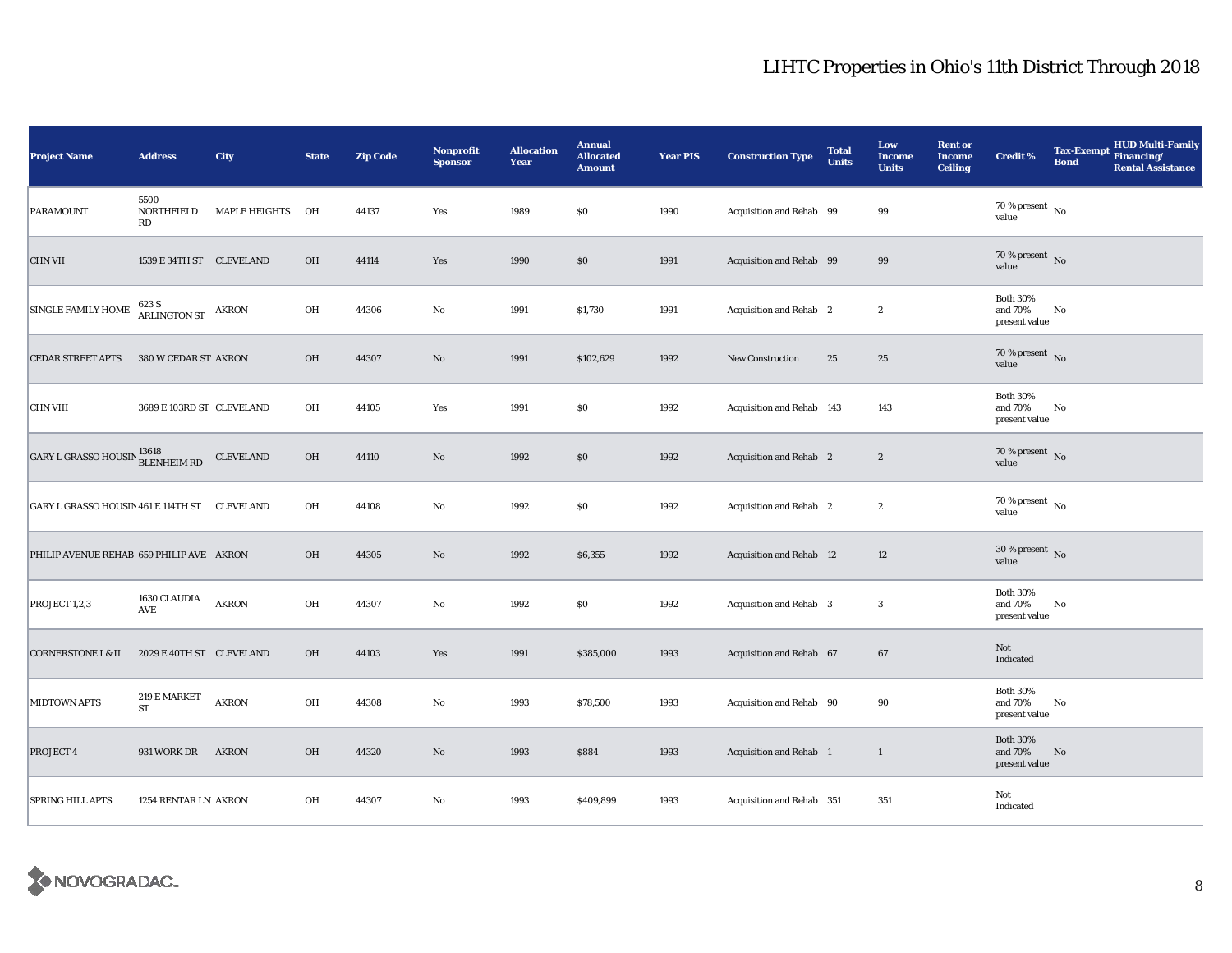| <b>Project Name</b>                                     | <b>Address</b>                              | City                 | <b>State</b> | <b>Zip Code</b> | <b>Nonprofit</b><br><b>Sponsor</b> | <b>Allocation</b><br>Year | <b>Annual</b><br><b>Allocated</b><br><b>Amount</b> | <b>Year PIS</b> | <b>Construction Type</b>        | <b>Total</b><br><b>Units</b> | Low<br><b>Income</b><br><b>Units</b> | <b>Rent or</b><br><b>Income</b><br><b>Ceiling</b> | <b>Credit %</b>                             | <b>Tax-Exempt</b><br><b>Bond</b> | <b>HUD Multi-Family</b><br>Financing/<br><b>Rental Assistance</b> |
|---------------------------------------------------------|---------------------------------------------|----------------------|--------------|-----------------|------------------------------------|---------------------------|----------------------------------------------------|-----------------|---------------------------------|------------------------------|--------------------------------------|---------------------------------------------------|---------------------------------------------|----------------------------------|-------------------------------------------------------------------|
| PARAMOUNT                                               | 5500<br>NORTHFIELD<br>RD                    | <b>MAPLE HEIGHTS</b> | OH           | 44137           | Yes                                | 1989                      | \$0                                                | 1990            | Acquisition and Rehab 99        |                              | 99                                   |                                                   | 70 % present $\hbox{~No}$<br>value          |                                  |                                                                   |
| <b>CHN VII</b>                                          | 1539 E 34TH ST CLEVELAND                    |                      | OH           | 44114           | Yes                                | 1990                      | $\$0$                                              | 1991            | Acquisition and Rehab 99        |                              | 99                                   |                                                   | 70 % present $\bar{N}$ o<br>value           |                                  |                                                                   |
| <b>SINGLE FAMILY HOME</b>                               | $623$ S $$\sf ARLINGTON\;ST$$ $$\sf AKRON$$ |                      | OH           | 44306           | No                                 | 1991                      | \$1,730                                            | 1991            | Acquisition and Rehab 2         |                              | $\boldsymbol{2}$                     |                                                   | <b>Both 30%</b><br>and 70%<br>present value | No                               |                                                                   |
| <b>CEDAR STREET APTS</b>                                | 380 W CEDAR ST AKRON                        |                      | <b>OH</b>    | 44307           | $\rm No$                           | 1991                      | \$102,629                                          | 1992            | New Construction                | 25                           | 25                                   |                                                   | 70 % present $\hbox{~No}$<br>value          |                                  |                                                                   |
| <b>CHN VIII</b>                                         | 3689 E 103RD ST CLEVELAND                   |                      | OH           | 44105           | Yes                                | 1991                      | \$0                                                | 1992            | Acquisition and Rehab 143       |                              | 143                                  |                                                   | <b>Both 30%</b><br>and 70%<br>present value | No                               |                                                                   |
| GARY L GRASSO HOUSIN $\frac{13618}{\text{BLENHEIM RD}}$ |                                             | <b>CLEVELAND</b>     | OH           | 44110           | $\rm No$                           | 1992                      | \$0                                                | 1992            | Acquisition and Rehab 2         |                              | $\boldsymbol{2}$                     |                                                   | 70 % present $\hbox{~No}$<br>value          |                                  |                                                                   |
| GARY L GRASSO HOUSIN 461 E 114TH ST CLEVELAND           |                                             |                      | OH           | 44108           | $\mathbf{No}$                      | 1992                      | \$0                                                | 1992            | Acquisition and Rehab 2         |                              | $\boldsymbol{2}$                     |                                                   | 70 % present $\hbox{~No}$<br>value          |                                  |                                                                   |
| PHILIP AVENUE REHAB 659 PHILIP AVE AKRON                |                                             |                      | OH           | 44305           | $\rm No$                           | 1992                      | \$6,355                                            | 1992            | <b>Acquisition and Rehab 12</b> |                              | $12\,$                               |                                                   | $30\,\%$ present $\,$ No value              |                                  |                                                                   |
| PROJECT 1,2,3                                           | 1630 CLAUDIA<br>AVE                         | <b>AKRON</b>         | OH           | 44307           | No                                 | 1992                      | \$0                                                | 1992            | Acquisition and Rehab 3         |                              | $\boldsymbol{3}$                     |                                                   | <b>Both 30%</b><br>and 70%<br>present value | No                               |                                                                   |
| <b>CORNERSTONE I &amp; II</b>                           | 2029 E 40TH ST CLEVELAND                    |                      | <b>OH</b>    | 44103           | Yes                                | 1991                      | \$385,000                                          | 1993            | Acquisition and Rehab 67        |                              | 67                                   |                                                   | Not<br>Indicated                            |                                  |                                                                   |
| <b>MIDTOWN APTS</b>                                     | 219 E MARKET<br><b>ST</b>                   | <b>AKRON</b>         | OH           | 44308           | No                                 | 1993                      | \$78,500                                           | 1993            | Acquisition and Rehab 90        |                              | 90                                   |                                                   | <b>Both 30%</b><br>and 70%<br>present value | No                               |                                                                   |
| PROJECT 4                                               | 931 WORK DR                                 | <b>AKRON</b>         | OH           | 44320           | $\mathbf{No}$                      | 1993                      | \$884                                              | 1993            | Acquisition and Rehab 1         |                              | $\mathbf{1}$                         |                                                   | <b>Both 30%</b><br>and 70%<br>present value | $\mathbf{No}$                    |                                                                   |
| <b>SPRING HILL APTS</b>                                 | 1254 RENTAR LN AKRON                        |                      | OH           | 44307           | $\mathbf{No}$                      | 1993                      | \$409,899                                          | 1993            | Acquisition and Rehab 351       |                              | 351                                  |                                                   | Not<br>Indicated                            |                                  |                                                                   |

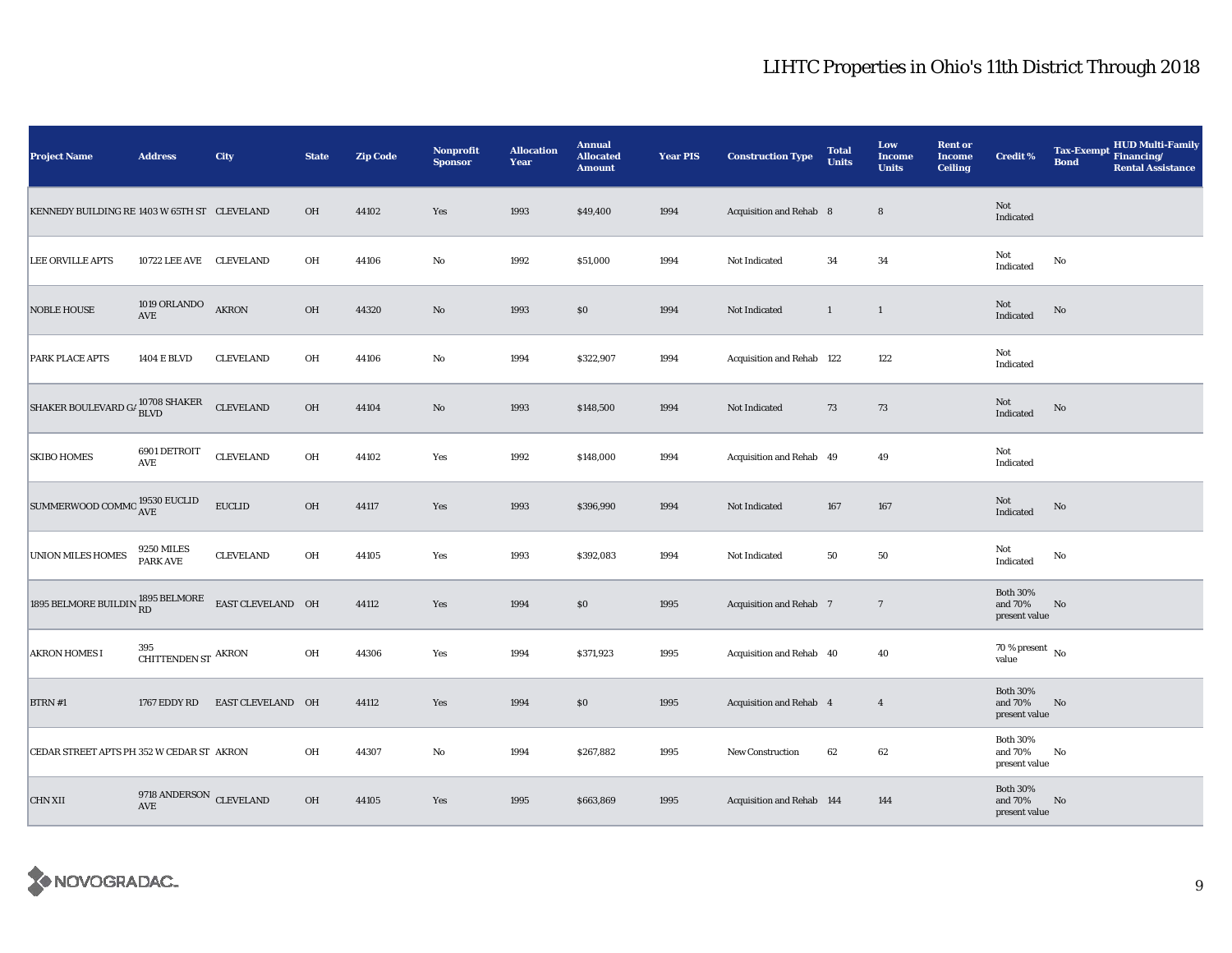| <b>Project Name</b>                                                                        | <b>Address</b>                       | City              | <b>State</b> | <b>Zip Code</b> | <b>Nonprofit</b><br><b>Sponsor</b> | <b>Allocation</b><br>Year | <b>Annual</b><br><b>Allocated</b><br><b>Amount</b> | <b>Year PIS</b> | <b>Construction Type</b>  | <b>Total</b><br><b>Units</b> | Low<br><b>Income</b><br><b>Units</b> | <b>Rent or</b><br><b>Income</b><br><b>Ceiling</b> | <b>Credit %</b>                             | HUD Multi-Family<br>Financing/<br><b>Tax-Exempt</b><br><b>Bond</b><br><b>Rental Assistance</b> |  |
|--------------------------------------------------------------------------------------------|--------------------------------------|-------------------|--------------|-----------------|------------------------------------|---------------------------|----------------------------------------------------|-----------------|---------------------------|------------------------------|--------------------------------------|---------------------------------------------------|---------------------------------------------|------------------------------------------------------------------------------------------------|--|
| KENNEDY BUILDING RE 1403 W 65TH ST CLEVELAND                                               |                                      |                   | OH           | 44102           | Yes                                | 1993                      | \$49,400                                           | 1994            | Acquisition and Rehab 8   |                              | $\bf8$                               |                                                   | Not<br>Indicated                            |                                                                                                |  |
| <b>LEE ORVILLE APTS</b>                                                                    | 10722 LEE AVE CLEVELAND              |                   | OH           | 44106           | No                                 | 1992                      | \$51,000                                           | 1994            | Not Indicated             | 34                           | 34                                   |                                                   | Not<br>Indicated                            | No                                                                                             |  |
| <b>NOBLE HOUSE</b>                                                                         | 1019 ORLANDO<br>$\operatorname{AVE}$ | <b>AKRON</b>      | OH           | 44320           | $\rm No$                           | 1993                      | $\$0$                                              | 1994            | Not Indicated             | $\mathbf{1}$                 | $\mathbf{1}$                         |                                                   | Not<br>Indicated                            | $\rm No$                                                                                       |  |
| PARK PLACE APTS                                                                            | 1404 E BLVD                          | <b>CLEVELAND</b>  | OH           | 44106           | No                                 | 1994                      | \$322,907                                          | 1994            | Acquisition and Rehab 122 |                              | 122                                  |                                                   | Not<br>Indicated                            |                                                                                                |  |
| SHAKER BOULEVARD G/ $^{10708}_{\rm BLVD}$                                                  |                                      | <b>CLEVELAND</b>  | OH           | 44104           | $\rm No$                           | 1993                      | \$148,500                                          | 1994            | Not Indicated             | 73                           | 73                                   |                                                   | Not<br>Indicated                            | No                                                                                             |  |
| <b>SKIBO HOMES</b>                                                                         | 6901 DETROIT<br>$\operatorname{AVE}$ | <b>CLEVELAND</b>  | OH           | 44102           | Yes                                | 1992                      | \$148,000                                          | 1994            | Acquisition and Rehab 49  |                              | 49                                   |                                                   | Not<br>Indicated                            |                                                                                                |  |
| $\boxed{\text{SUMMERWOOD}\text{ COMMO}}^\text{19530}\substack{\text{EUCLID}}_{\text{AVE}}$ |                                      | ${\tt EUCLID}$    | OH           | 44117           | Yes                                | 1993                      | \$396,990                                          | 1994            | Not Indicated             | 167                          | 167                                  |                                                   | Not<br>Indicated                            | No                                                                                             |  |
| <b>UNION MILES HOMES</b>                                                                   | <b>9250 MILES</b><br><b>PARK AVE</b> | <b>CLEVELAND</b>  | OH           | 44105           | Yes                                | 1993                      | \$392,083                                          | 1994            | Not Indicated             | 50                           | 50                                   |                                                   | Not<br>Indicated                            | No                                                                                             |  |
| 1895 BELMORE BUILDIN $_{\rm RD}^{1895}$ BELMORE                                            |                                      | EAST CLEVELAND OH |              | 44112           | Yes                                | 1994                      | \$0                                                | 1995            | Acquisition and Rehab 7   |                              | $7\phantom{.0}$                      |                                                   | <b>Both 30%</b><br>and 70%<br>present value | No                                                                                             |  |
| <b>AKRON HOMES I</b>                                                                       | 395<br>CHITTENDEN ST $\,$ AKRON      |                   | OH           | 44306           | Yes                                | 1994                      | \$371,923                                          | 1995            | Acquisition and Rehab 40  |                              | 40                                   |                                                   | 70 % present $\hbox{~No}$<br>value          |                                                                                                |  |
| $BTRN$ #1                                                                                  | 1767 EDDY RD                         | EAST CLEVELAND OH |              | 44112           | Yes                                | 1994                      | \$0                                                | 1995            | Acquisition and Rehab 4   |                              | $\overline{4}$                       |                                                   | <b>Both 30%</b><br>and 70%<br>present value | No                                                                                             |  |
| CEDAR STREET APTS PH 352 W CEDAR ST AKRON                                                  |                                      |                   | OH           | 44307           | No                                 | 1994                      | \$267,882                                          | 1995            | <b>New Construction</b>   | 62                           | $62\,$                               |                                                   | <b>Both 30%</b><br>and 70%<br>present value | No                                                                                             |  |
| <b>CHN XII</b>                                                                             | $9718$ ANDERSON $\,$ CLEVELAND AVE   |                   | OH           | 44105           | Yes                                | 1995                      | \$663,869                                          | 1995            | Acquisition and Rehab 144 |                              | 144                                  |                                                   | <b>Both 30%</b><br>and 70%<br>present value | No                                                                                             |  |

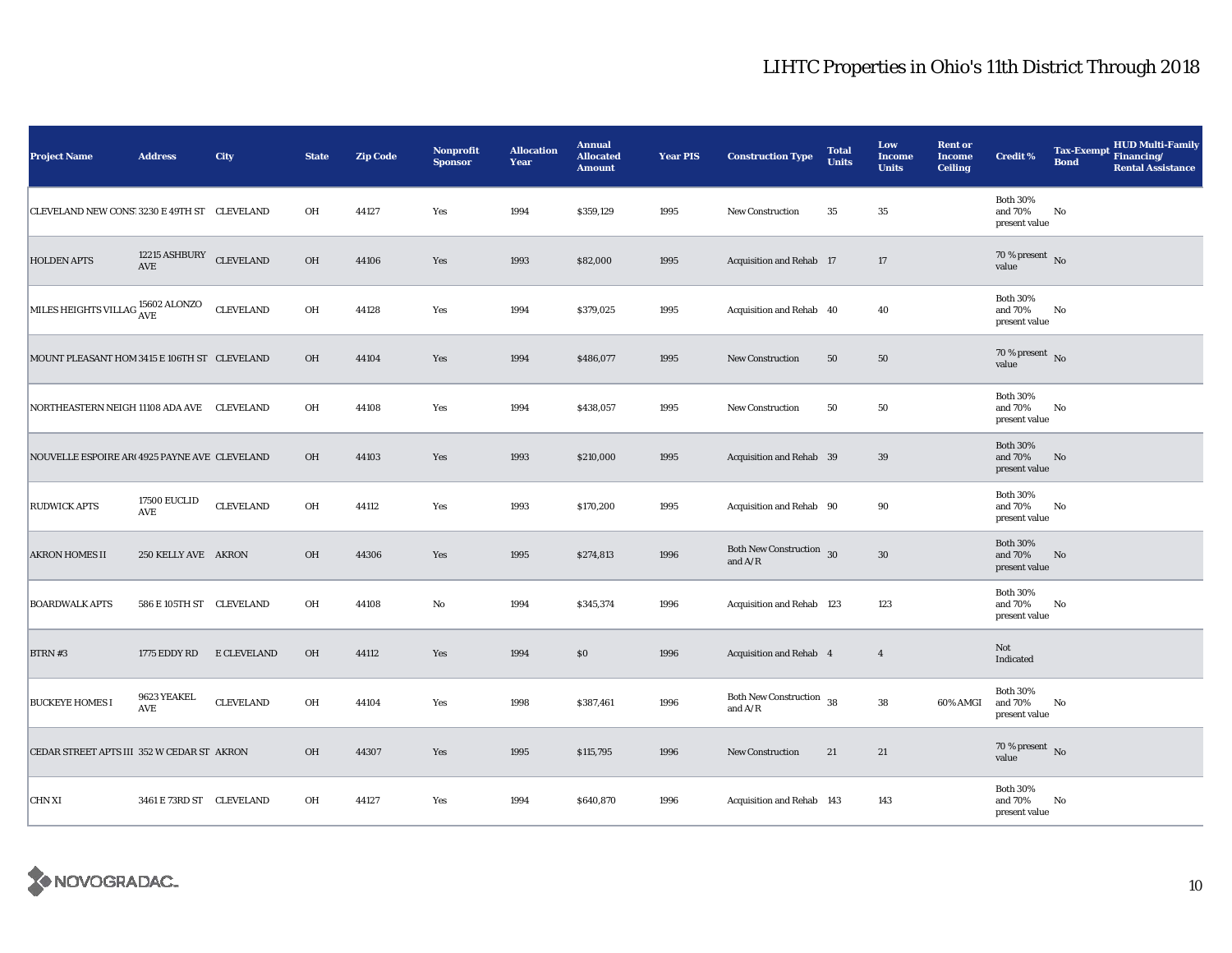| <b>Project Name</b>                          | <b>Address</b>                                           | City             | <b>State</b> | <b>Zip Code</b> | Nonprofit<br><b>Sponsor</b> | <b>Allocation</b><br>Year | <b>Annual</b><br><b>Allocated</b><br><b>Amount</b> | <b>Year PIS</b> | <b>Construction Type</b>                   | <b>Total</b><br><b>Units</b> | Low<br><b>Income</b><br><b>Units</b> | <b>Rent or</b><br><b>Income</b><br><b>Ceiling</b> | <b>Credit %</b>                             | <b>Tax-Exempt</b><br><b>Bond</b> | <b>HUD Multi-Family</b><br>Financing/<br><b>Rental Assistance</b> |
|----------------------------------------------|----------------------------------------------------------|------------------|--------------|-----------------|-----------------------------|---------------------------|----------------------------------------------------|-----------------|--------------------------------------------|------------------------------|--------------------------------------|---------------------------------------------------|---------------------------------------------|----------------------------------|-------------------------------------------------------------------|
| CLEVELAND NEW CONS' 3230 E 49TH ST CLEVELAND |                                                          |                  | OH           | 44127           | Yes                         | 1994                      | \$359,129                                          | 1995            | New Construction                           | $35\,$                       | 35                                   |                                                   | <b>Both 30%</b><br>and 70%<br>present value | No                               |                                                                   |
| <b>HOLDEN APTS</b>                           | 12215 ASHBURY CLEVELAND<br>$\operatorname{\mathbf{AVE}}$ |                  | OH           | 44106           | Yes                         | 1993                      | \$82,000                                           | 1995            | Acquisition and Rehab 17                   |                              | 17                                   |                                                   | 70 % present $\,$ No $\,$<br>value          |                                  |                                                                   |
| MILES HEIGHTS VILLAG 15602 ALONZO            |                                                          | <b>CLEVELAND</b> | OH           | 44128           | Yes                         | 1994                      | \$379,025                                          | 1995            | Acquisition and Rehab 40                   |                              | 40                                   |                                                   | <b>Both 30%</b><br>and 70%<br>present value | No                               |                                                                   |
| MOUNT PLEASANT HOM 3415 E 106TH ST CLEVELAND |                                                          |                  | OH           | 44104           | Yes                         | 1994                      | \$486,077                                          | 1995            | <b>New Construction</b>                    | 50                           | 50                                   |                                                   | 70 % present $\hbox{~No}$<br>value          |                                  |                                                                   |
| NORTHEASTERN NEIGH 11108 ADA AVE CLEVELAND   |                                                          |                  | OH           | 44108           | Yes                         | 1994                      | \$438,057                                          | 1995            | <b>New Construction</b>                    | 50                           | 50                                   |                                                   | <b>Both 30%</b><br>and 70%<br>present value | No                               |                                                                   |
| NOUVELLE ESPOIRE AR(4925 PAYNE AVE CLEVELAND |                                                          |                  | <b>OH</b>    | 44103           | Yes                         | 1993                      | \$210,000                                          | 1995            | Acquisition and Rehab 39                   |                              | 39                                   |                                                   | <b>Both 30%</b><br>and 70%<br>present value | No                               |                                                                   |
| <b>RUDWICK APTS</b>                          | <b>17500 EUCLID</b><br>AVE                               | <b>CLEVELAND</b> | OH           | 44112           | Yes                         | 1993                      | \$170,200                                          | 1995            | Acquisition and Rehab 90                   |                              | 90                                   |                                                   | <b>Both 30%</b><br>and 70%<br>present value | No                               |                                                                   |
| <b>AKRON HOMES II</b>                        | 250 KELLY AVE AKRON                                      |                  | OH           | 44306           | Yes                         | 1995                      | \$274,813                                          | 1996            | Both New Construction $\,$ 30<br>and $A/R$ |                              | $30\,$                               |                                                   | <b>Both 30%</b><br>and 70%<br>present value | No                               |                                                                   |
| <b>BOARDWALK APTS</b>                        | 586 E 105TH ST CLEVELAND                                 |                  | OH           | 44108           | $\mathbf{No}$               | 1994                      | \$345,374                                          | 1996            | Acquisition and Rehab 123                  |                              | 123                                  |                                                   | <b>Both 30%</b><br>and 70%<br>present value | No                               |                                                                   |
| BTRN #3                                      | 1775 EDDY RD                                             | E CLEVELAND      | OH           | 44112           | Yes                         | 1994                      | \$0                                                | 1996            | Acquisition and Rehab 4                    |                              | $\overline{4}$                       |                                                   | Not<br>Indicated                            |                                  |                                                                   |
| <b>BUCKEYE HOMES I</b>                       | 9623 YEAKEL<br>AVE                                       | <b>CLEVELAND</b> | OH           | 44104           | Yes                         | 1998                      | \$387,461                                          | 1996            | Both New Construction 38<br>and $A/R$      |                              | 38                                   | 60% AMGI                                          | <b>Both 30%</b><br>and 70%<br>present value | No                               |                                                                   |
| CEDAR STREET APTS III 352 W CEDAR ST AKRON   |                                                          |                  | 0H           | 44307           | Yes                         | 1995                      | \$115,795                                          | 1996            | New Construction                           | 21                           | 21                                   |                                                   | 70 % present $\bar{N}$<br>value             |                                  |                                                                   |
| <b>CHN XI</b>                                | 3461 E 73RD ST CLEVELAND                                 |                  | OH           | 44127           | Yes                         | 1994                      | \$640,870                                          | 1996            | Acquisition and Rehab 143                  |                              | 143                                  |                                                   | <b>Both 30%</b><br>and 70%<br>present value | No                               |                                                                   |

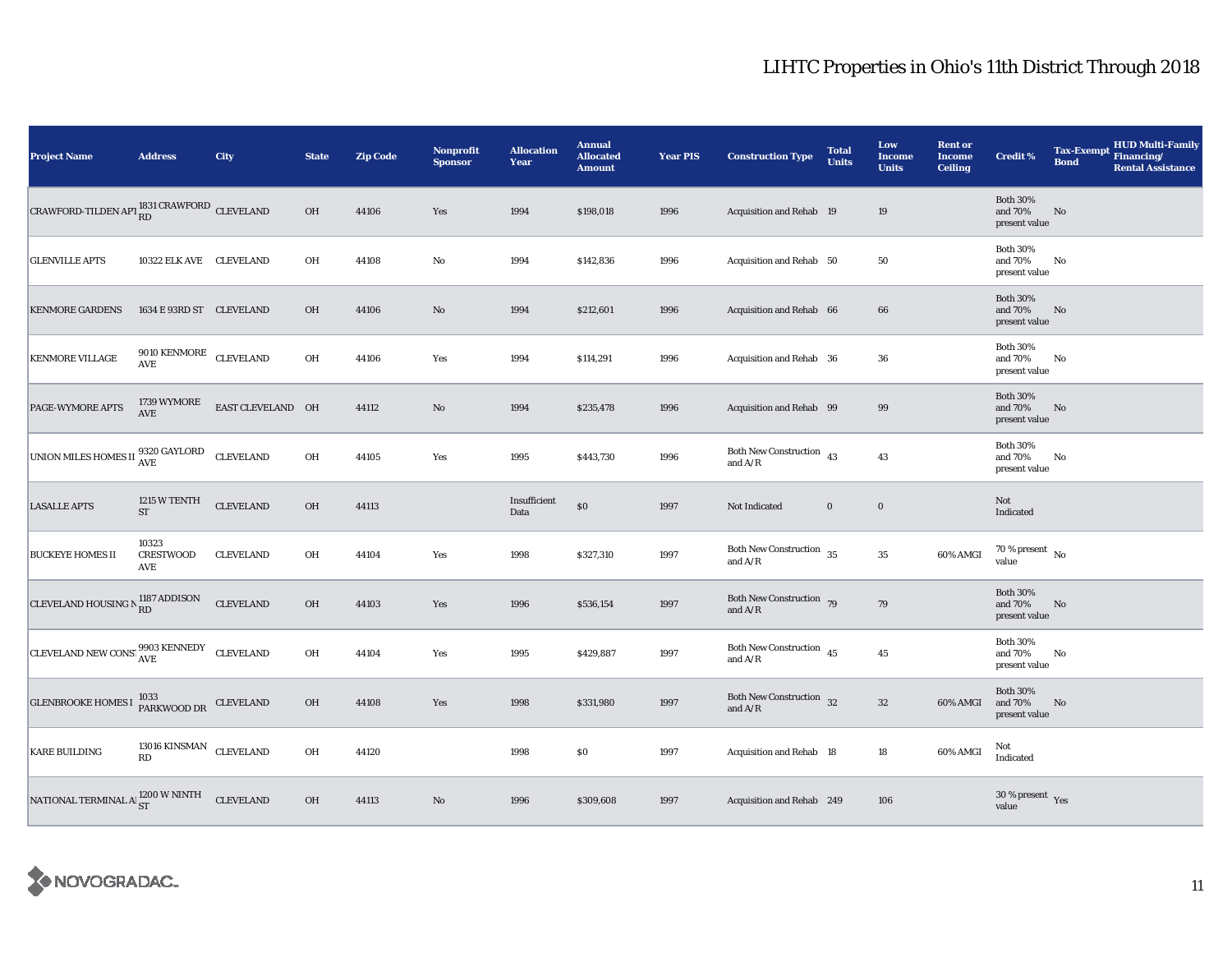| <b>Project Name</b>                                            | <b>Address</b>                      | City              | <b>State</b> | <b>Zip Code</b> | <b>Nonprofit</b><br><b>Sponsor</b> | <b>Allocation</b><br>Year | <b>Annual</b><br><b>Allocated</b><br><b>Amount</b> | <b>Year PIS</b> | <b>Construction Type</b>                                     | <b>Total</b><br><b>Units</b> | Low<br><b>Income</b><br><b>Units</b> | <b>Rent or</b><br><b>Income</b><br><b>Ceiling</b> | <b>Credit %</b>                             | <b>Tax-Exempt</b><br><b>Bond</b> | <b>HUD Multi-Family</b><br>Financing/<br><b>Rental Assistance</b> |
|----------------------------------------------------------------|-------------------------------------|-------------------|--------------|-----------------|------------------------------------|---------------------------|----------------------------------------------------|-----------------|--------------------------------------------------------------|------------------------------|--------------------------------------|---------------------------------------------------|---------------------------------------------|----------------------------------|-------------------------------------------------------------------|
| CRAWFORD-TILDEN APT RD 1831 CRAWFORD CLEVELAND                 |                                     |                   | OH           | 44106           | Yes                                | 1994                      | \$198,018                                          | 1996            | Acquisition and Rehab 19                                     |                              | 19                                   |                                                   | <b>Both 30%</b><br>and 70%<br>present value | No                               |                                                                   |
| <b>GLENVILLE APTS</b>                                          | 10322 ELK AVE CLEVELAND             |                   | OH           | 44108           | $\rm No$                           | 1994                      | \$142,836                                          | 1996            | Acquisition and Rehab 50                                     |                              | 50                                   |                                                   | <b>Both 30%</b><br>and 70%<br>present value | No                               |                                                                   |
| <b>KENMORE GARDENS</b>                                         | 1634 E 93RD ST CLEVELAND            |                   | $OH$         | 44106           | $\rm No$                           | 1994                      | \$212,601                                          | 1996            | Acquisition and Rehab 66                                     |                              | 66                                   |                                                   | <b>Both 30%</b><br>and 70%<br>present value | $\mathbf{No}$                    |                                                                   |
| <b>KENMORE VILLAGE</b>                                         | $9010$ KENMORE CLEVELAND AVE        |                   | OH           | 44106           | Yes                                | 1994                      | \$114,291                                          | 1996            | Acquisition and Rehab 36                                     |                              | 36                                   |                                                   | <b>Both 30%</b><br>and 70%<br>present value | No                               |                                                                   |
| PAGE-WYMORE APTS                                               | 1739 WYMORE<br>$\operatorname{AVE}$ | EAST CLEVELAND OH |              | 44112           | $\rm No$                           | 1994                      | \$235,478                                          | 1996            | Acquisition and Rehab 99                                     |                              | 99                                   |                                                   | <b>Both 30%</b><br>and 70%<br>present value | No                               |                                                                   |
| UNION MILES HOMES II $\frac{9320 \text{ GAYLORD}}{\text{AVE}}$ |                                     | CLEVELAND         | OH           | 44105           | Yes                                | 1995                      | \$443,730                                          | 1996            | Both New Construction $43$<br>and $\mathrm{A}/\mathrm{R}$    |                              | 43                                   |                                                   | <b>Both 30%</b><br>and 70%<br>present value | No                               |                                                                   |
| <b>LASALLE APTS</b>                                            | 1215 W TENTH<br><b>ST</b>           | <b>CLEVELAND</b>  | OH           | 44113           |                                    | Insufficient<br>Data      | $\$0$                                              | 1997            | Not Indicated                                                | $\bf{0}$                     | $\bf{0}$                             |                                                   | Not<br>Indicated                            |                                  |                                                                   |
| <b>BUCKEYE HOMES II</b>                                        | 10323<br><b>CRESTWOOD</b><br>AVE    | <b>CLEVELAND</b>  | OH           | 44104           | Yes                                | 1998                      | \$327,310                                          | 1997            | Both New Construction $\,$ 35<br>and $\mathrm{A}/\mathrm{R}$ |                              | $\bf 35$                             | 60% AMGI                                          | 70 % present $\,$ No $\,$<br>value          |                                  |                                                                   |
| CLEVELAND HOUSING N $_{\rm RD}^{1187}$ ADDISON                 |                                     | <b>CLEVELAND</b>  | $OH$         | 44103           | Yes                                | 1996                      | \$536,154                                          | 1997            | Both New Construction 79<br>and $A/R$                        |                              | $\bf 79$                             |                                                   | <b>Both 30%</b><br>and 70%<br>present value | No                               |                                                                   |
| CLEVELAND NEW CONSTRUE AVE CLEVELAND                           |                                     |                   | OH           | 44104           | Yes                                | 1995                      | \$429,887                                          | 1997            | Both New Construction 45<br>and $A/R$                        |                              | $\bf 45$                             |                                                   | <b>Both 30%</b><br>and 70%<br>present value | No                               |                                                                   |
| <b>GLENBROOKE HOMES I</b>                                      | 1033<br>PARKWOOD DR CLEVELAND       |                   | $OH$         | 44108           | Yes                                | 1998                      | \$331,980                                          | 1997            | Both New Construction $32$<br>and $A/R$                      |                              | $32\,$                               | 60% AMGI                                          | <b>Both 30%</b><br>and 70%<br>present value | $\mathbf{No}$                    |                                                                   |
| <b>KARE BUILDING</b>                                           | 13016 KINSMAN CLEVELAND<br>RD       |                   | OH           | 44120           |                                    | 1998                      | \$0                                                | 1997            | Acquisition and Rehab 18                                     |                              | 18                                   | 60% AMGI                                          | Not<br>Indicated                            |                                  |                                                                   |
| NATIONAL TERMINAL ALST                                         |                                     | <b>CLEVELAND</b>  | $OH$         | 44113           | $\rm No$                           | 1996                      | \$309,608                                          | 1997            | Acquisition and Rehab 249                                    |                              | 106                                  |                                                   | $30\,\%$ present $\,$ Yes value             |                                  |                                                                   |

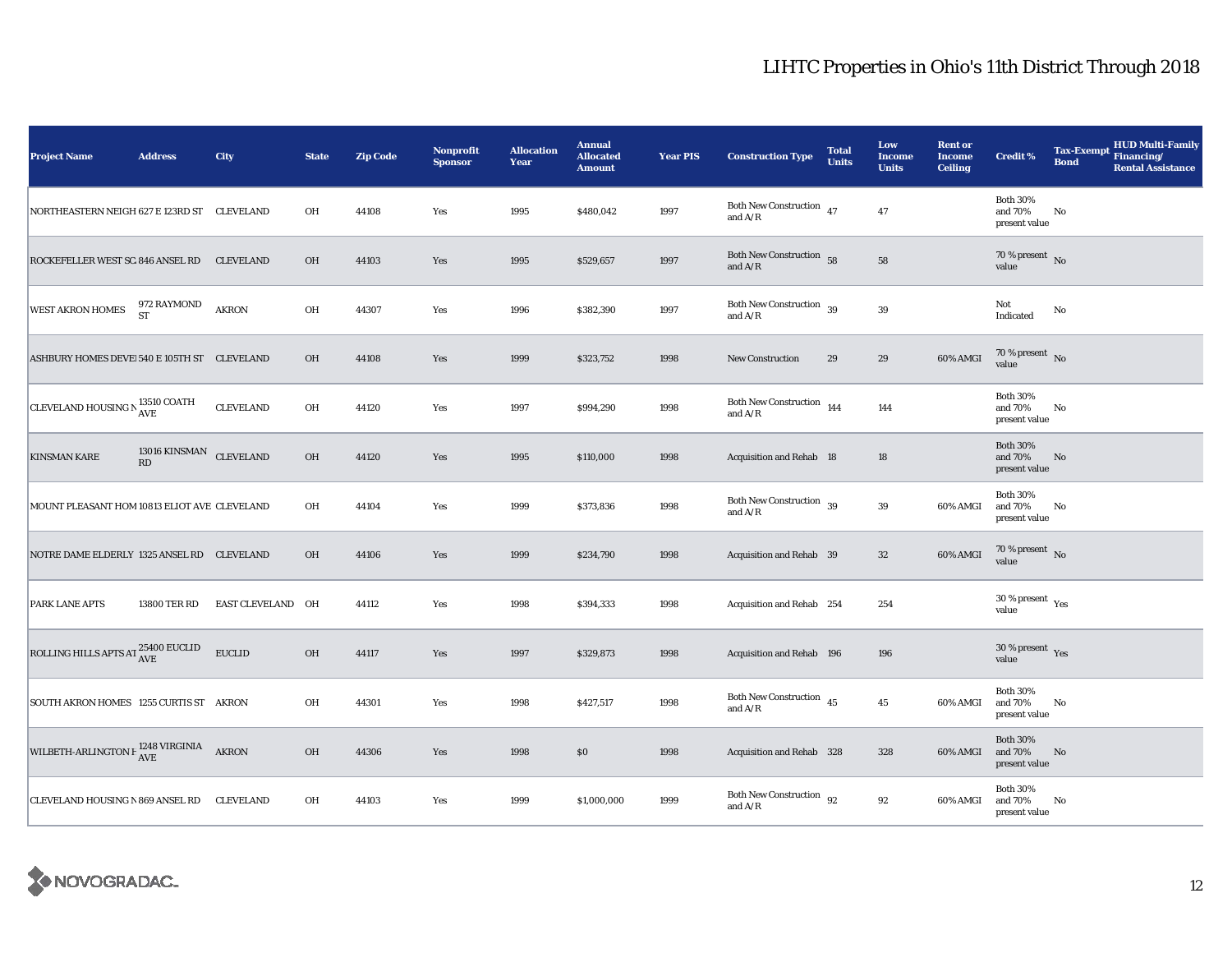| <b>Project Name</b>                                      | <b>Address</b>                | City              | <b>State</b> | <b>Zip Code</b> | <b>Nonprofit</b><br><b>Sponsor</b> | <b>Allocation</b><br>Year | <b>Annual</b><br><b>Allocated</b><br><b>Amount</b> | <b>Year PIS</b> | <b>Construction Type</b>                         | <b>Total</b><br>Units | Low<br><b>Income</b><br><b>Units</b> | <b>Rent or</b><br><b>Income</b><br><b>Ceiling</b> | <b>Credit %</b>                                 | <b>Tax-Exempt</b><br><b>Bond</b> | <b>HUD Multi-Family</b><br>Financing/<br><b>Rental Assistance</b> |
|----------------------------------------------------------|-------------------------------|-------------------|--------------|-----------------|------------------------------------|---------------------------|----------------------------------------------------|-----------------|--------------------------------------------------|-----------------------|--------------------------------------|---------------------------------------------------|-------------------------------------------------|----------------------------------|-------------------------------------------------------------------|
| NORTHEASTERN NEIGH 627 E 123RD ST CLEVELAND              |                               |                   | OH           | 44108           | Yes                                | 1995                      | \$480,042                                          | 1997            | Both New Construction $\,$ 47 $\,$<br>and $A/R$  |                       | 47                                   |                                                   | <b>Both 30%</b><br>and 70%<br>present value     | No                               |                                                                   |
| ROCKEFELLER WEST SC. 846 ANSEL RD                        |                               | <b>CLEVELAND</b>  | OH           | 44103           | Yes                                | 1995                      | \$529,657                                          | 1997            | <b>Both New Construction</b> 58<br>and $A/R$     |                       | 58                                   |                                                   | 70 % present $\overline{N_0}$<br>value          |                                  |                                                                   |
| <b>WEST AKRON HOMES</b>                                  | 972 RAYMOND<br>ST             | <b>AKRON</b>      | OH           | 44307           | Yes                                | 1996                      | \$382,390                                          | 1997            | Both New Construction 39<br>and $A/R$            |                       | 39                                   |                                                   | Not<br>$\operatorname{Indicated}$               | No                               |                                                                   |
| ASHBURY HOMES DEVEI 540 E 105TH ST CLEVELAND             |                               |                   | OH           | 44108           | Yes                                | 1999                      | \$323,752                                          | 1998            | <b>New Construction</b>                          | 29                    | 29                                   | 60% AMGI                                          | $70$ % present $_{\rm{No}}$                     |                                  |                                                                   |
| CLEVELAND HOUSING N $_{\mbox{AVE}}^{13510\text{ COATH}}$ |                               | <b>CLEVELAND</b>  | OH           | 44120           | Yes                                | 1997                      | \$994,290                                          | 1998            | Both New Construction $\,$ 144 $\,$<br>and $A/R$ |                       | 144                                  |                                                   | <b>Both 30%</b><br>and 70%<br>present value     | No                               |                                                                   |
| <b>KINSMAN KARE</b>                                      | 13016 KINSMAN CLEVELAND<br>RD |                   | OH           | 44120           | Yes                                | 1995                      | \$110,000                                          | 1998            | Acquisition and Rehab 18                         |                       | 18                                   |                                                   | <b>Both 30%</b><br>and 70%<br>present value     | No                               |                                                                   |
| MOUNT PLEASANT HOM 10813 ELIOT AVE CLEVELAND             |                               |                   | OH           | 44104           | Yes                                | 1999                      | \$373,836                                          | 1998            | Both New Construction 39<br>and $A/R$            |                       | 39                                   | 60% AMGI                                          | <b>Both 30%</b><br>and 70%<br>present value     | No                               |                                                                   |
| NOTRE DAME ELDERLY 1325 ANSEL RD CLEVELAND               |                               |                   | OH           | 44106           | Yes                                | 1999                      | \$234,790                                          | 1998            | Acquisition and Rehab 39                         |                       | $32\,$                               | 60% AMGI                                          | 70 % present $\,$ No $\,$<br>value              |                                  |                                                                   |
| PARK LANE APTS                                           | 13800 TER RD                  | EAST CLEVELAND OH |              | 44112           | Yes                                | 1998                      | \$394,333                                          | 1998            | Acquisition and Rehab 254                        |                       | 254                                  |                                                   | 30 % present $\rm\thinspace_{Yes}$<br>value     |                                  |                                                                   |
| ROLLING HILLS APTS AT <sup>25400</sup> EUCLID            |                               | <b>EUCLID</b>     | OH           | 44117           | Yes                                | 1997                      | \$329,873                                          | 1998            | Acquisition and Rehab 196                        |                       | 196                                  |                                                   | $30\,\%$ present $\rm\thinspace_{Yes}$<br>value |                                  |                                                                   |
| SOUTH AKRON HOMES 1255 CURTIS ST AKRON                   |                               |                   | OH           | 44301           | Yes                                | 1998                      | \$427,517                                          | 1998            | Both New Construction $\,$ 45<br>and $A/R$       |                       | 45                                   | 60% AMGI                                          | <b>Both 30%</b><br>and 70%<br>present value     | No                               |                                                                   |
| WILBETH-ARLINGTON F $^{1248}_{\mbox{AVE}}$ AKRON         |                               |                   | OH           | 44306           | Yes                                | 1998                      | \$0                                                | 1998            | Acquisition and Rehab 328                        |                       | 328                                  | 60% AMGI                                          | <b>Both 30%</b><br>and $70\%$<br>present value  | No                               |                                                                   |
| CLEVELAND HOUSING N 869 ANSEL RD                         |                               | <b>CLEVELAND</b>  | OH           | 44103           | Yes                                | 1999                      | \$1,000,000                                        | 1999            | Both New Construction 92<br>and $A/R$            |                       | 92                                   | 60% AMGI                                          | <b>Both 30%</b><br>and 70%<br>present value     | No                               |                                                                   |

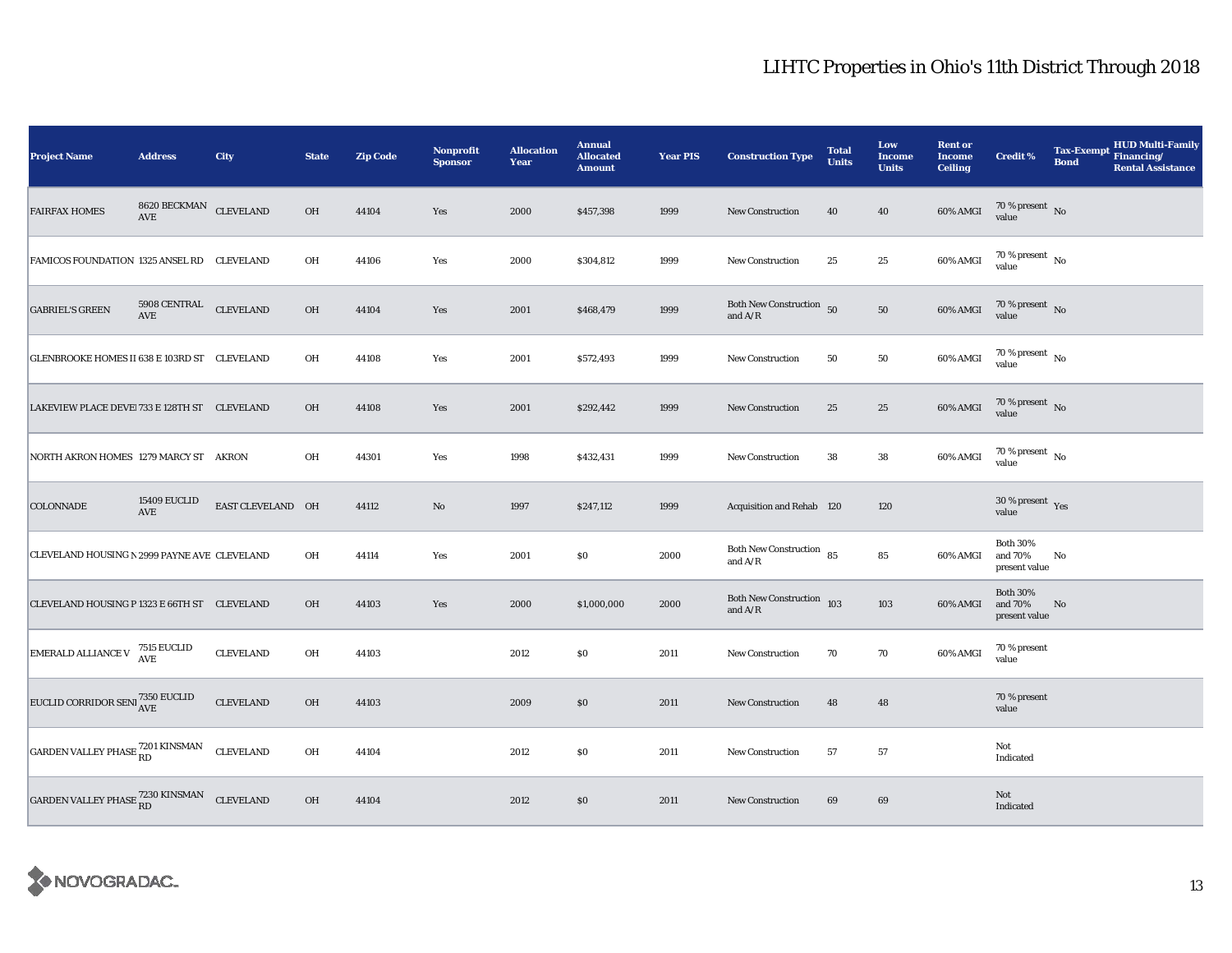| <b>Project Name</b>                                    | <b>Address</b>                                 | City              | <b>State</b> | <b>Zip Code</b> | <b>Nonprofit</b><br><b>Sponsor</b> | <b>Allocation</b><br>Year | <b>Annual</b><br><b>Allocated</b><br><b>Amount</b> | <b>Year PIS</b> | <b>Construction Type</b>                                                           | <b>Total</b><br><b>Units</b> | Low<br><b>Income</b><br><b>Units</b> | <b>Rent or</b><br><b>Income</b><br><b>Ceiling</b> | <b>Credit %</b>                             | <b>Tax-Exempt</b><br><b>Bond</b> | <b>HUD Multi-Family</b><br>Financing/<br><b>Rental Assistance</b> |
|--------------------------------------------------------|------------------------------------------------|-------------------|--------------|-----------------|------------------------------------|---------------------------|----------------------------------------------------|-----------------|------------------------------------------------------------------------------------|------------------------------|--------------------------------------|---------------------------------------------------|---------------------------------------------|----------------------------------|-------------------------------------------------------------------|
| <b>FAIRFAX HOMES</b>                                   | 8620 BECKMAN CLEVELAND<br>$\operatorname{AVE}$ |                   | OH           | 44104           | Yes                                | 2000                      | \$457,398                                          | 1999            | <b>New Construction</b>                                                            | 40                           | 40                                   | 60% AMGI                                          | $70$ % present $$\rm{No}$$ value            |                                  |                                                                   |
| FAMICOS FOUNDATION 1325 ANSEL RD CLEVELAND             |                                                |                   | OH           | 44106           | Yes                                | 2000                      | \$304,812                                          | 1999            | <b>New Construction</b>                                                            | 25                           | 25                                   | 60% AMGI                                          | $70$ % present $\,$ No $\,$<br>value        |                                  |                                                                   |
| <b>GABRIEL'S GREEN</b>                                 | 5908 CENTRAL CLEVELAND<br>AVE                  |                   | OH           | 44104           | Yes                                | 2001                      | \$468,479                                          | 1999            | Both New Construction 50<br>and $A/R$                                              |                              | ${\bf 50}$                           | 60% AMGI                                          | $70$ % present $$\rm{No}$$ value            |                                  |                                                                   |
| GLENBROOKE HOMES II 638 E 103RD ST CLEVELAND           |                                                |                   | OH           | 44108           | Yes                                | 2001                      | \$572,493                                          | 1999            | New Construction                                                                   | 50                           | 50                                   | 60% AMGI                                          | 70 % present $\hbox{~No}$<br>value          |                                  |                                                                   |
| LAKEVIEW PLACE DEVE 733 E 128TH ST CLEVELAND           |                                                |                   | OH           | 44108           | Yes                                | 2001                      | \$292,442                                          | 1999            | <b>New Construction</b>                                                            | 25                           | $\bf 25$                             | 60% AMGI                                          | $70$ % present $$\rm{No}$$ value            |                                  |                                                                   |
| NORTH AKRON HOMES 1279 MARCY ST AKRON                  |                                                |                   | OH           | 44301           | Yes                                | 1998                      | \$432,431                                          | 1999            | New Construction                                                                   | 38                           | ${\bf 38}$                           | 60% AMGI                                          | $70$ % present $\,$ No $\,$<br>value        |                                  |                                                                   |
| <b>COLONNADE</b>                                       | 15409 EUCLID<br>$\operatorname{AVE}$           | EAST CLEVELAND OH |              | 44112           | No                                 | 1997                      | \$247,112                                          | 1999            | Acquisition and Rehab 120                                                          |                              | 120                                  |                                                   | $30\,\%$ present $\,$ Yes value             |                                  |                                                                   |
| CLEVELAND HOUSING N 2999 PAYNE AVE CLEVELAND           |                                                |                   | OH           | 44114           | Yes                                | 2001                      | \$0                                                | 2000            | Both New Construction 85<br>and $\ensuremath{\mathrm{A}}/\ensuremath{\mathrm{R}}$  |                              | ${\bf 85}$                           | 60% AMGI                                          | <b>Both 30%</b><br>and 70%<br>present value | No                               |                                                                   |
| CLEVELAND HOUSING P 1323 E 66TH ST CLEVELAND           |                                                |                   | <b>OH</b>    | 44103           | Yes                                | 2000                      | \$1,000,000                                        | 2000            | Both New Construction 103<br>and $\ensuremath{\mathrm{A}}/\ensuremath{\mathrm{R}}$ |                              | 103                                  | 60% AMGI                                          | <b>Both 30%</b><br>and 70%<br>present value | No                               |                                                                   |
| <b>EMERALD ALLIANCE V</b> 7515 EUCLID                  |                                                | <b>CLEVELAND</b>  | OH           | 44103           |                                    | 2012                      | \$0                                                | 2011            | <b>New Construction</b>                                                            | 70                           | 70                                   | 60% AMGI                                          | 70 % present<br>value                       |                                  |                                                                   |
| EUCLID CORRIDOR SENI <sup>7350</sup> EUCLID            |                                                | <b>CLEVELAND</b>  | OH           | 44103           |                                    | 2009                      | \$0                                                | 2011            | New Construction                                                                   | 48                           | 48                                   |                                                   | 70 % present<br>value                       |                                  |                                                                   |
| GARDEN VALLEY PHASE 7201 KINSMAN                       |                                                | <b>CLEVELAND</b>  | OH           | 44104           |                                    | 2012                      | \$0                                                | 2011            | <b>New Construction</b>                                                            | 57                           | 57                                   |                                                   | Not<br>Indicated                            |                                  |                                                                   |
| GARDEN VALLEY PHASE ${}^{7230}_{RD}$ KINSMAN CLEVELAND |                                                |                   | OH           | 44104           |                                    | 2012                      | $\$0$                                              | 2011            | <b>New Construction</b>                                                            | 69                           | 69                                   |                                                   | Not<br>Indicated                            |                                  |                                                                   |

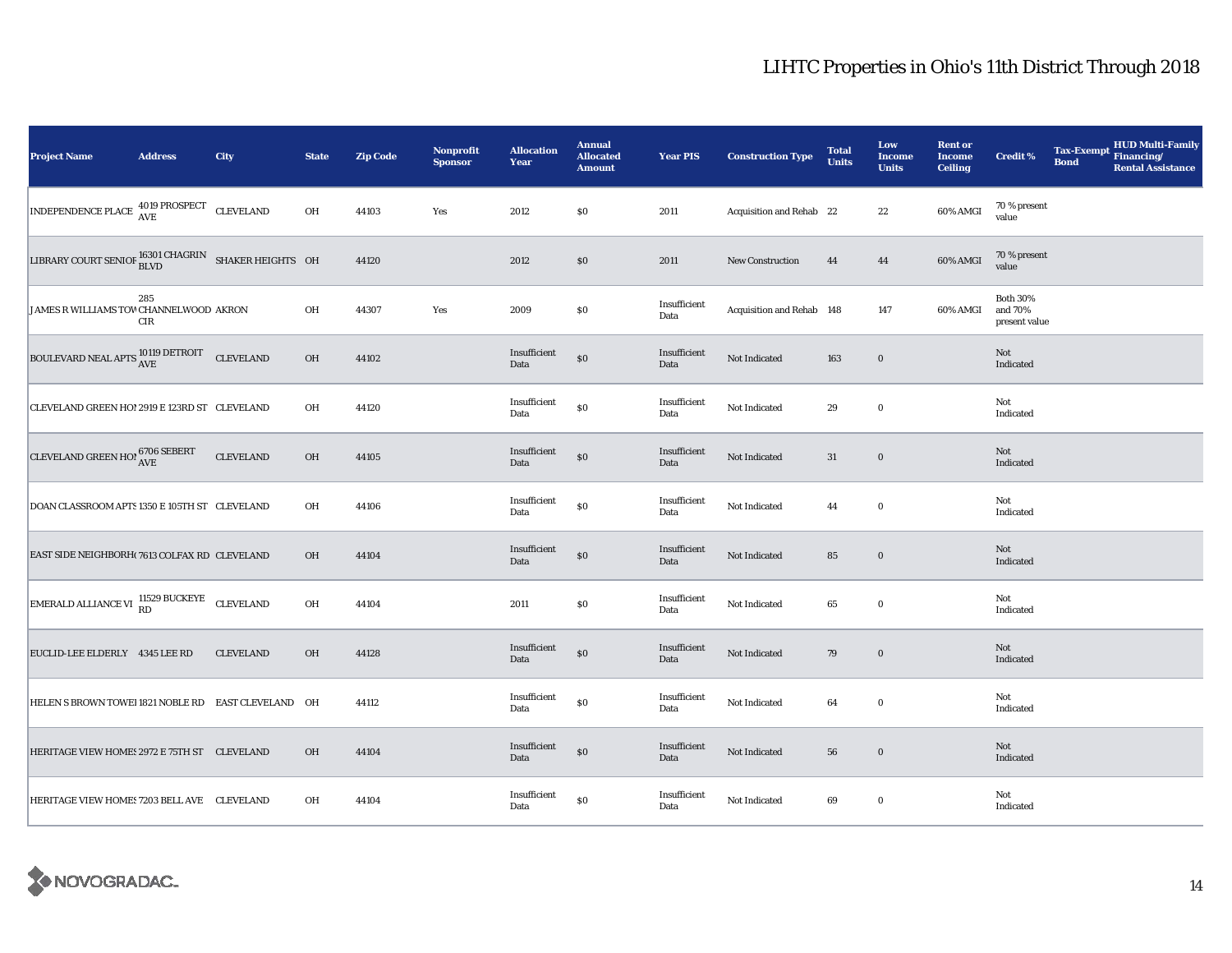| <b>Project Name</b>                                                                                                                               | <b>Address</b> | City             | <b>State</b> | <b>Zip Code</b> | Nonprofit<br><b>Sponsor</b> | <b>Allocation</b><br>Year | <b>Annual</b><br><b>Allocated</b><br><b>Amount</b> | <b>Year PIS</b>      | <b>Construction Type</b>  | <b>Total</b><br><b>Units</b> | Low<br>Income<br><b>Units</b> | <b>Rent or</b><br><b>Income</b><br><b>Ceiling</b> | Credit %                                    | <b>Tax-Exempt</b><br><b>Bond</b> | HUD Multi-Family<br>Financing/<br><b>Rental Assistance</b> |
|---------------------------------------------------------------------------------------------------------------------------------------------------|----------------|------------------|--------------|-----------------|-----------------------------|---------------------------|----------------------------------------------------|----------------------|---------------------------|------------------------------|-------------------------------|---------------------------------------------------|---------------------------------------------|----------------------------------|------------------------------------------------------------|
| $\boxed{\text{INDEPENDENCE PLACE} \begin{tabular}{l} 4019 \text{ PROSPECT} \\ AVE \end{tabular} \begin{tabular}{l} \bf CLEVELAND \end{tabular} }$ |                |                  | OH           | 44103           | Yes                         | 2012                      | $\$0$                                              | 2011                 | Acquisition and Rehab 22  |                              | 22                            | 60% AMGI                                          | 70 % present<br>value                       |                                  |                                                            |
| LIBRARY COURT SENIOF $_{\hbox{\footnotesize BLVD}}^{16301\,\hbox{\footnotesize CHAGRIN}}$ SHAKER HEIGHTS OH                                       |                |                  |              | 44120           |                             | 2012                      | $\$0$                                              | 2011                 | <b>New Construction</b>   | 44                           | 44                            | 60% AMGI                                          | 70 % present<br>value                       |                                  |                                                            |
| JAMES R WILLIAMS TOV CHANNELWOOD AKRON                                                                                                            | 285<br>CIR     |                  | OH           | 44307           | Yes                         | 2009                      | \$0                                                | Insufficient<br>Data | Acquisition and Rehab 148 |                              | 147                           | 60% AMGI                                          | <b>Both 30%</b><br>and 70%<br>present value |                                  |                                                            |
| BOULEVARD NEAL APTS 10119 DETROIT                                                                                                                 |                | <b>CLEVELAND</b> | OH           | 44102           |                             | Insufficient<br>Data      | $\$0$                                              | Insufficient<br>Data | Not Indicated             | 163                          | $\mathbf 0$                   |                                                   | Not<br>Indicated                            |                                  |                                                            |
| CLEVELAND GREEN HO! 2919 E 123RD ST CLEVELAND                                                                                                     |                |                  | OH           | 44120           |                             | Insufficient<br>Data      | $\$0$                                              | Insufficient<br>Data | Not Indicated             | 29                           | $\bf{0}$                      |                                                   | Not<br>Indicated                            |                                  |                                                            |
| CLEVELAND GREEN HOP $^{6706}_{\mbox{\scriptsize AVE}}$                                                                                            |                | <b>CLEVELAND</b> | OH           | 44105           |                             | Insufficient<br>Data      | $\$0$                                              | Insufficient<br>Data | Not Indicated             | $31\,$                       | $\mathbf 0$                   |                                                   | Not<br>Indicated                            |                                  |                                                            |
| DOAN CLASSROOM APTS 1350 E 105TH ST CLEVELAND                                                                                                     |                |                  | OH           | 44106           |                             | Insufficient<br>Data      | $\$0$                                              | Insufficient<br>Data | Not Indicated             | 44                           | $\bf{0}$                      |                                                   | Not<br>Indicated                            |                                  |                                                            |
| EAST SIDE NEIGHBORH(7613 COLFAX RD CLEVELAND                                                                                                      |                |                  | OH           | 44104           |                             | Insufficient<br>Data      | $\$0$                                              | Insufficient<br>Data | Not Indicated             | 85                           | $\mathbf 0$                   |                                                   | Not<br>Indicated                            |                                  |                                                            |
| <b>EMERALD ALLIANCE VI</b> $_{RD}^{11529}$ BUCKEYE CLEVELAND                                                                                      |                |                  | OH           | 44104           |                             | 2011                      | $\$0$                                              | Insufficient<br>Data | Not Indicated             | 65                           | $\mathbf 0$                   |                                                   | Not<br>Indicated                            |                                  |                                                            |
| EUCLID-LEE ELDERLY 4345 LEE RD                                                                                                                    |                | <b>CLEVELAND</b> | OH           | 44128           |                             | Insufficient<br>Data      | $\$0$                                              | Insufficient<br>Data | Not Indicated             | 79                           | $\mathbf 0$                   |                                                   | Not<br>Indicated                            |                                  |                                                            |
| HELEN S BROWN TOWEI 1821 NOBLE RD EAST CLEVELAND OH                                                                                               |                |                  |              | 44112           |                             | Insufficient<br>Data      | $\$0$                                              | Insufficient<br>Data | Not Indicated             | 64                           | $\bf{0}$                      |                                                   | Not<br>Indicated                            |                                  |                                                            |
| HERITAGE VIEW HOMES 2972 E 75TH ST CLEVELAND                                                                                                      |                |                  | OH           | 44104           |                             | Insufficient<br>Data      | $\$0$                                              | Insufficient<br>Data | Not Indicated             | 56                           | $\mathbf 0$                   |                                                   | Not<br>Indicated                            |                                  |                                                            |
| HERITAGE VIEW HOMES 7203 BELL AVE CLEVELAND                                                                                                       |                |                  | OH           | 44104           |                             | Insufficient<br>Data      | $\$0$                                              | Insufficient<br>Data | Not Indicated             | 69                           | $\bf{0}$                      |                                                   | Not<br>Indicated                            |                                  |                                                            |

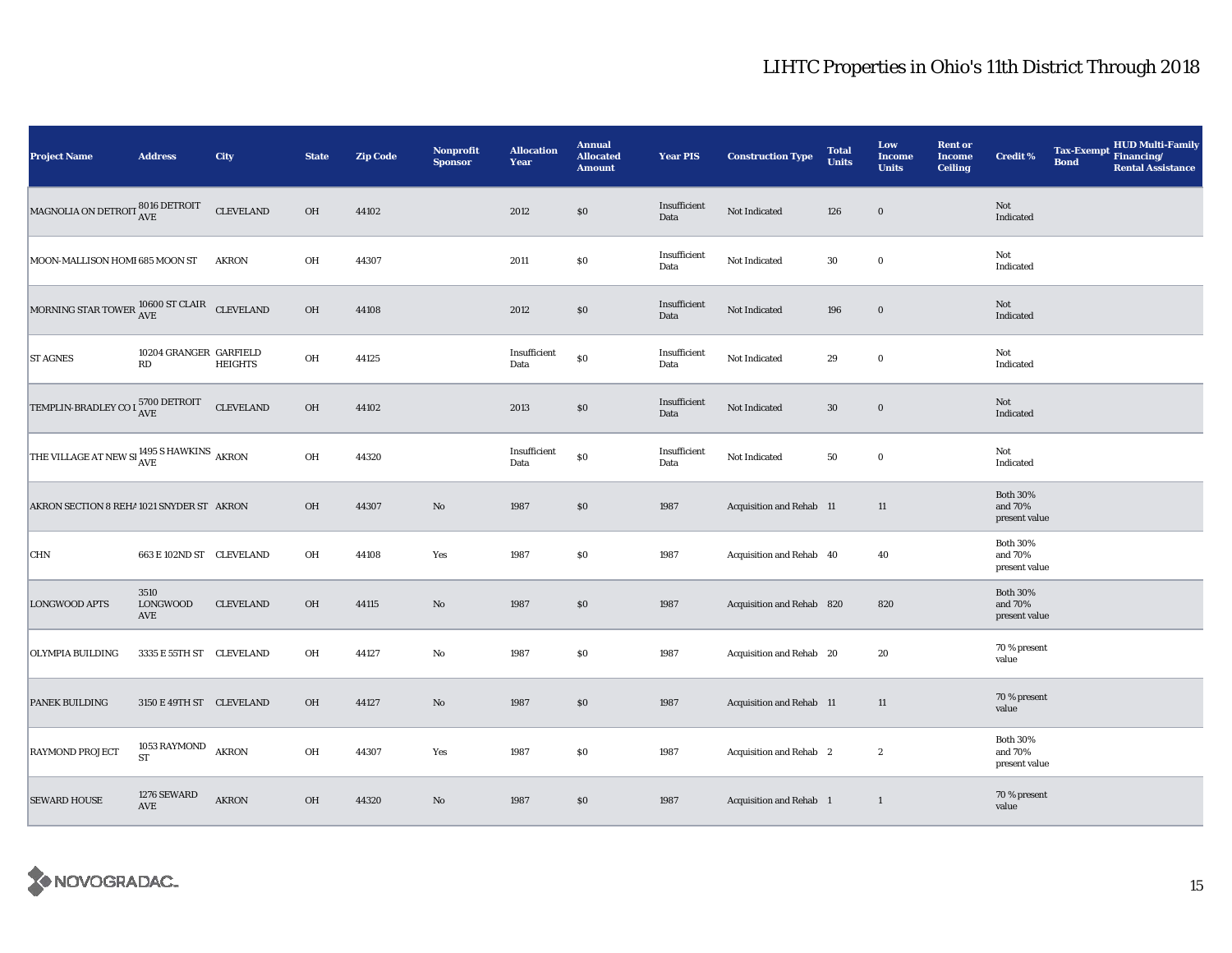| <b>Project Name</b>                                          | <b>Address</b>               | City             | <b>State</b> | <b>Zip Code</b> | <b>Nonprofit</b><br><b>Sponsor</b> | <b>Allocation</b><br>Year | <b>Annual</b><br><b>Allocated</b><br><b>Amount</b> | <b>Year PIS</b>      | <b>Construction Type</b>  | <b>Total</b><br><b>Units</b> | Low<br>Income<br><b>Units</b> | <b>Rent or</b><br><b>Income</b><br><b>Ceiling</b> | <b>Credit %</b>                             | <b>Tax-Exempt</b><br><b>Bond</b> | HUD Multi-Family<br>Financing/<br><b>Rental Assistance</b> |
|--------------------------------------------------------------|------------------------------|------------------|--------------|-----------------|------------------------------------|---------------------------|----------------------------------------------------|----------------------|---------------------------|------------------------------|-------------------------------|---------------------------------------------------|---------------------------------------------|----------------------------------|------------------------------------------------------------|
| MAGNOLIA ON DETROIT $_{\rm AVE}^{8016\rm\,DETROIT}$          |                              | <b>CLEVELAND</b> | OH           | 44102           |                                    | 2012                      | \$0                                                | Insufficient<br>Data | Not Indicated             | 126                          | $\bf{0}$                      |                                                   | Not<br>Indicated                            |                                  |                                                            |
| MOON-MALLISON HOMI 685 MOON ST                               |                              | <b>AKRON</b>     | OH           | 44307           |                                    | 2011                      | $\$0$                                              | Insufficient<br>Data | Not Indicated             | 30                           | $\bf{0}$                      |                                                   | Not<br>Indicated                            |                                  |                                                            |
| MORNING STAR TOWER $\frac{10600}{\text{AVE}}$ CLEVELAND      |                              |                  | OH           | 44108           |                                    | 2012                      | \$0                                                | Insufficient<br>Data | Not Indicated             | 196                          | $\mathbf 0$                   |                                                   | Not<br>Indicated                            |                                  |                                                            |
| <b>ST AGNES</b>                                              | 10204 GRANGER GARFIELD<br>RD | <b>HEIGHTS</b>   | OH           | 44125           |                                    | Insufficient<br>Data      | $\$0$                                              | Insufficient<br>Data | Not Indicated             | 29                           | $\bf{0}$                      |                                                   | Not<br>Indicated                            |                                  |                                                            |
| TEMPLIN-BRADLEY CO I $^{5700\,}_{\rm AVE}$                   |                              | <b>CLEVELAND</b> | OH           | 44102           |                                    | 2013                      | \$0                                                | Insufficient<br>Data | Not Indicated             | $30\,$                       | $\mathbf 0$                   |                                                   | Not<br>Indicated                            |                                  |                                                            |
| THE VILLAGE AT NEW SI $_{\text{AVE}}^{1495}$ S HAWKINS AKRON |                              |                  | OH           | 44320           |                                    | Insufficient<br>Data      | $\$0$                                              | Insufficient<br>Data | Not Indicated             | 50                           | $\bf{0}$                      |                                                   | Not<br>Indicated                            |                                  |                                                            |
| AKRON SECTION 8 REHA 1021 SNYDER ST AKRON                    |                              |                  | OH           | 44307           | $\rm No$                           | 1987                      | $\$0$                                              | 1987                 | Acquisition and Rehab 11  |                              | $11\,$                        |                                                   | <b>Both 30%</b><br>and 70%<br>present value |                                  |                                                            |
| <b>CHN</b>                                                   | 663 E 102ND ST CLEVELAND     |                  | OH           | 44108           | Yes                                | 1987                      | $\$0$                                              | 1987                 | Acquisition and Rehab 40  |                              | 40                            |                                                   | <b>Both 30%</b><br>and 70%<br>present value |                                  |                                                            |
| <b>LONGWOOD APTS</b>                                         | 3510<br>LONGWOOD<br>AVE      | <b>CLEVELAND</b> | OH           | 44115           | No                                 | 1987                      | $\$0$                                              | 1987                 | Acquisition and Rehab 820 |                              | 820                           |                                                   | <b>Both 30%</b><br>and 70%<br>present value |                                  |                                                            |
| <b>OLYMPIA BUILDING</b>                                      | 3335 E 55TH ST CLEVELAND     |                  | OH           | 44127           | $\rm No$                           | 1987                      | $\$0$                                              | 1987                 | Acquisition and Rehab 20  |                              | 20                            |                                                   | 70 % present<br>value                       |                                  |                                                            |
| PANEK BUILDING                                               | 3150 E 49TH ST CLEVELAND     |                  | OH           | 44127           | $\rm No$                           | 1987                      | $\$0$                                              | 1987                 | Acquisition and Rehab 11  |                              | 11                            |                                                   | 70 % present<br>value                       |                                  |                                                            |
| <b>RAYMOND PROJECT</b>                                       | 1053 RAYMOND<br><b>ST</b>    | <b>AKRON</b>     | OH           | 44307           | Yes                                | 1987                      | $\$0$                                              | 1987                 | Acquisition and Rehab 2   |                              | $\boldsymbol{2}$              |                                                   | <b>Both 30%</b><br>and 70%<br>present value |                                  |                                                            |
| <b>SEWARD HOUSE</b>                                          | 1276 SEWARD<br>AVE           | <b>AKRON</b>     | OH           | 44320           | $\rm No$                           | 1987                      | $\$0$                                              | 1987                 | Acquisition and Rehab 1   |                              | 1                             |                                                   | 70 % present<br>value                       |                                  |                                                            |

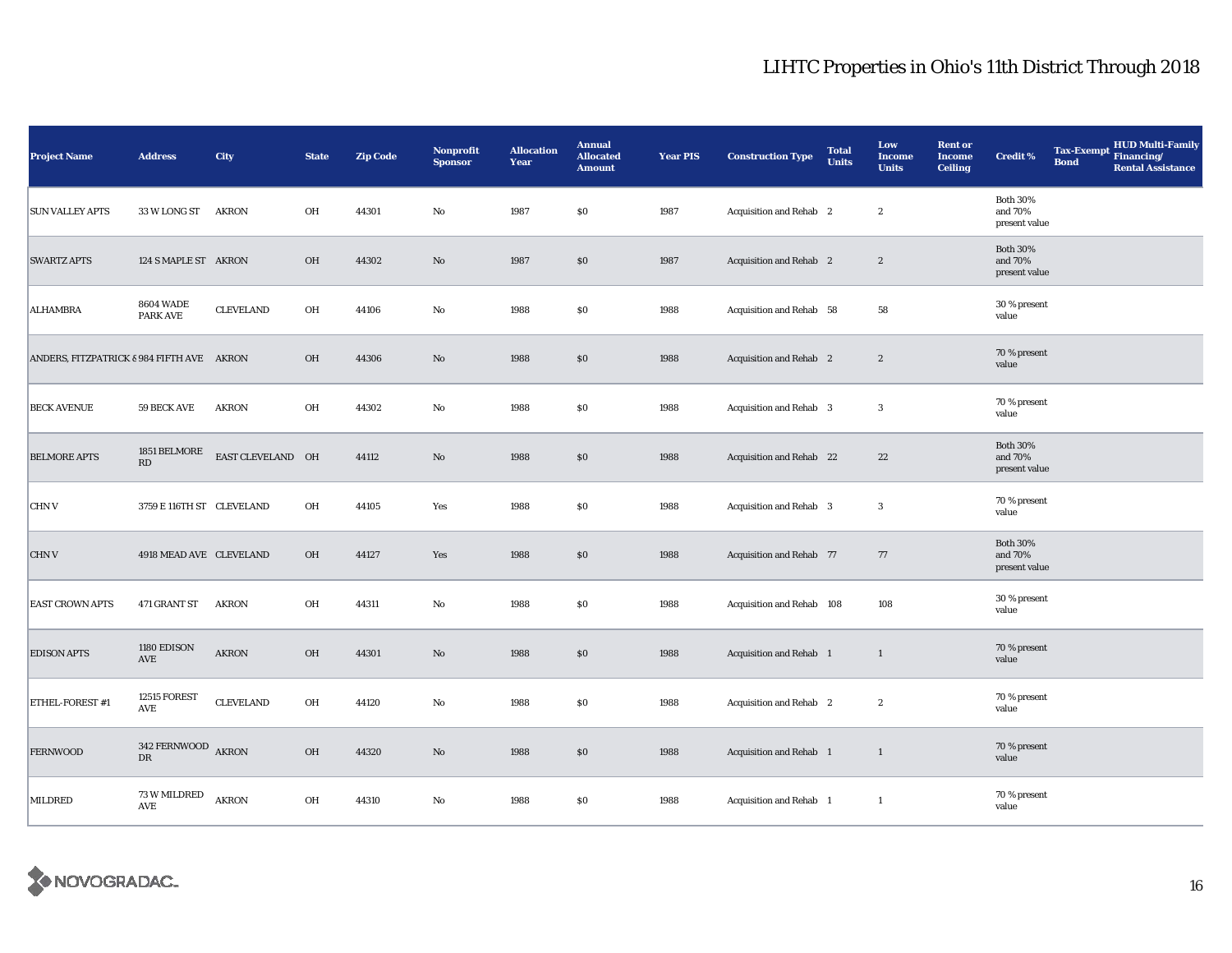| <b>Project Name</b>                       | <b>Address</b>                      | City              | <b>State</b> | <b>Zip Code</b> | <b>Nonprofit</b><br><b>Sponsor</b> | <b>Allocation</b><br>Year | <b>Annual</b><br><b>Allocated</b><br><b>Amount</b> | <b>Year PIS</b> | <b>Construction Type</b>       | <b>Total</b><br><b>Units</b> | Low<br><b>Income</b><br><b>Units</b> | <b>Rent or</b><br><b>Income</b><br><b>Ceiling</b> | <b>Credit %</b>                             | <b>Tax-Exempt</b><br><b>Bond</b> | <b>HUD Multi-Family</b><br>Financing/<br><b>Rental Assistance</b> |
|-------------------------------------------|-------------------------------------|-------------------|--------------|-----------------|------------------------------------|---------------------------|----------------------------------------------------|-----------------|--------------------------------|------------------------------|--------------------------------------|---------------------------------------------------|---------------------------------------------|----------------------------------|-------------------------------------------------------------------|
| <b>SUN VALLEY APTS</b>                    | 33 W LONG ST                        | <b>AKRON</b>      | OH           | 44301           | $\rm No$                           | 1987                      | \$0                                                | 1987            | Acquisition and Rehab 2        |                              | $\boldsymbol{2}$                     |                                                   | <b>Both 30%</b><br>and 70%<br>present value |                                  |                                                                   |
| <b>SWARTZ APTS</b>                        | 124 S MAPLE ST AKRON                |                   | OH           | 44302           | $\rm No$                           | 1987                      | \$0                                                | 1987            | <b>Acquisition and Rehab</b> 2 |                              | $\boldsymbol{2}$                     |                                                   | <b>Both 30%</b><br>and 70%<br>present value |                                  |                                                                   |
| <b>ALHAMBRA</b>                           | <b>8604 WADE</b><br><b>PARK AVE</b> | <b>CLEVELAND</b>  | OH           | 44106           | $\rm No$                           | 1988                      | \$0                                                | 1988            | Acquisition and Rehab 58       |                              | 58                                   |                                                   | 30 % present<br>value                       |                                  |                                                                   |
| ANDERS, FITZPATRICK 8 984 FIFTH AVE AKRON |                                     |                   | <b>OH</b>    | 44306           | $\mathbf{No}$                      | 1988                      | \$0                                                | 1988            | Acquisition and Rehab 2        |                              | $\boldsymbol{2}$                     |                                                   | 70 % present<br>value                       |                                  |                                                                   |
| <b>BECK AVENUE</b>                        | <b>59 BECK AVE</b>                  | <b>AKRON</b>      | OH           | 44302           | No                                 | 1988                      | \$0                                                | 1988            | Acquisition and Rehab 3        |                              | 3                                    |                                                   | 70 % present<br>value                       |                                  |                                                                   |
| <b>BELMORE APTS</b>                       | 1851 BELMORE<br>RD                  | EAST CLEVELAND OH |              | 44112           | $\rm No$                           | 1988                      | \$0                                                | 1988            | Acquisition and Rehab 22       |                              | 22                                   |                                                   | <b>Both 30%</b><br>and 70%<br>present value |                                  |                                                                   |
| <b>CHNV</b>                               | 3759 E 116TH ST CLEVELAND           |                   | OH           | 44105           | Yes                                | 1988                      | \$0                                                | 1988            | Acquisition and Rehab 3        |                              | 3                                    |                                                   | 70 % present<br>value                       |                                  |                                                                   |
| <b>CHNV</b>                               | 4918 MEAD AVE CLEVELAND             |                   | OH           | 44127           | Yes                                | 1988                      | $\$0$                                              | 1988            | Acquisition and Rehab 77       |                              | 77                                   |                                                   | <b>Both 30%</b><br>and 70%<br>present value |                                  |                                                                   |
| <b>EAST CROWN APTS</b>                    | 471 GRANT ST                        | AKRON             | OH           | 44311           | No                                 | 1988                      | \$0                                                | 1988            | Acquisition and Rehab 108      |                              | 108                                  |                                                   | 30 % present<br>value                       |                                  |                                                                   |
| <b>EDISON APTS</b>                        | 1180 EDISON<br>AVE                  | <b>AKRON</b>      | <b>OH</b>    | 44301           | $\rm No$                           | 1988                      | \$0                                                | 1988            | Acquisition and Rehab 1        |                              | $\mathbf{1}$                         |                                                   | 70 % present<br>value                       |                                  |                                                                   |
| ETHEL-FOREST #1                           | 12515 FOREST<br><b>AVE</b>          | <b>CLEVELAND</b>  | OH           | 44120           | $\rm No$                           | 1988                      | \$0                                                | 1988            | Acquisition and Rehab 2        |                              | $\boldsymbol{2}$                     |                                                   | 70 % present<br>value                       |                                  |                                                                   |
| <b>FERNWOOD</b>                           | 342 FERNWOOD<br>DR                  | <b>AKRON</b>      | OH           | 44320           | $\mathbf{N}\mathbf{o}$             | 1988                      | \$0                                                | 1988            | Acquisition and Rehab 1        |                              | $\mathbf{1}$                         |                                                   | 70 % present<br>value                       |                                  |                                                                   |
| MILDRED                                   | 73 W MILDRED<br>AVE                 | <b>AKRON</b>      | OH           | 44310           | No                                 | 1988                      | \$0                                                | 1988            | Acquisition and Rehab 1        |                              | 1                                    |                                                   | 70 % present<br>value                       |                                  |                                                                   |

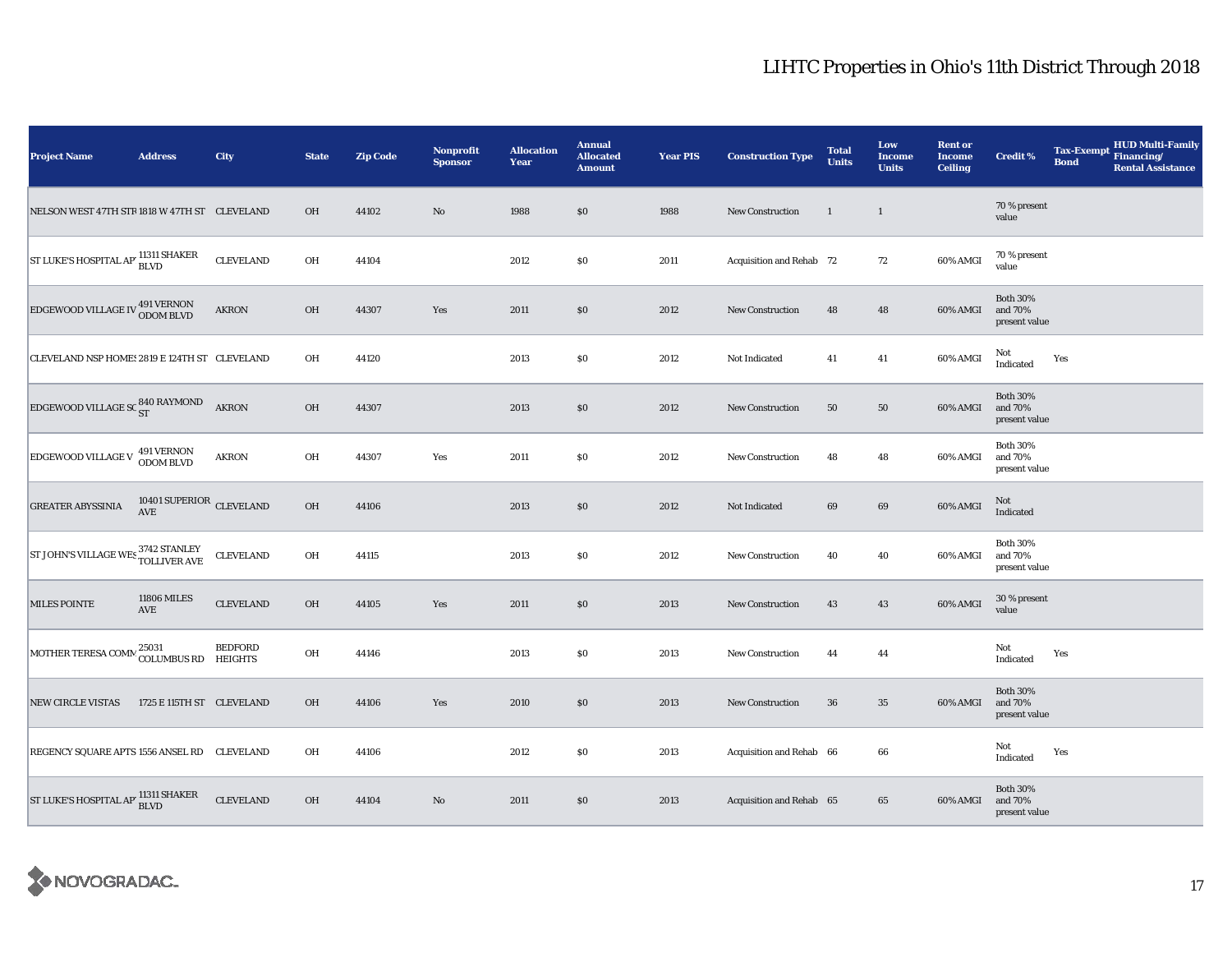| <b>Project Name</b>                                     | <b>Address</b>                         | City             | <b>State</b> | <b>Zip Code</b> | <b>Nonprofit</b><br><b>Sponsor</b> | <b>Allocation</b><br>Year | <b>Annual</b><br><b>Allocated</b><br><b>Amount</b> | <b>Year PIS</b> | <b>Construction Type</b> | <b>Total</b><br><b>Units</b> | Low<br><b>Income</b><br><b>Units</b> | <b>Rent or</b><br><b>Income</b><br><b>Ceiling</b> | <b>Credit %</b>                             | <b>Tax-Exempt</b><br><b>Bond</b> | <b>HUD Multi-Family</b><br>Financing/<br><b>Rental Assistance</b> |
|---------------------------------------------------------|----------------------------------------|------------------|--------------|-----------------|------------------------------------|---------------------------|----------------------------------------------------|-----------------|--------------------------|------------------------------|--------------------------------------|---------------------------------------------------|---------------------------------------------|----------------------------------|-------------------------------------------------------------------|
| NELSON WEST 47TH STR 1818 W 47TH ST CLEVELAND           |                                        |                  | OH           | 44102           | $\mathbf{N}\mathbf{o}$             | 1988                      | $\$0$                                              | 1988            | New Construction         | <sup>1</sup>                 | $\mathbf{1}$                         |                                                   | 70 % present<br>value                       |                                  |                                                                   |
| ST LUKE'S HOSPITAL AP 11311 SHAKER                      |                                        | <b>CLEVELAND</b> | OH           | 44104           |                                    | 2012                      | $\$0$                                              | 2011            | Acquisition and Rehab 72 |                              | 72                                   | 60% AMGI                                          | 70 % present<br>value                       |                                  |                                                                   |
| <b>EDGEWOOD VILLAGE IV 491 VERNON</b>                   |                                        | <b>AKRON</b>     | OH           | 44307           | Yes                                | 2011                      | \$0                                                | 2012            | <b>New Construction</b>  | 48                           | 48                                   | 60% AMGI                                          | <b>Both 30%</b><br>and 70%<br>present value |                                  |                                                                   |
| CLEVELAND NSP HOME: 2819 E 124TH ST CLEVELAND           |                                        |                  | OH           | 44120           |                                    | 2013                      | $\$0$                                              | 2012            | Not Indicated            | 41                           | 41                                   | 60% AMGI                                          | Not<br>Indicated                            | Yes                              |                                                                   |
| EDGEWOOD VILLAGE SC $_{\rm ST}^{840\rm~RAYMOND}$        |                                        | <b>AKRON</b>     | OH           | 44307           |                                    | 2013                      | \$0                                                | 2012            | <b>New Construction</b>  | 50                           | 50                                   | 60% AMGI                                          | <b>Both 30%</b><br>and 70%<br>present value |                                  |                                                                   |
| <b>EDGEWOOD VILLAGE V</b>                               | 491 VERNON<br>ODOM BLVD                | AKRON            | OH           | 44307           | Yes                                | 2011                      | \$0                                                | 2012            | <b>New Construction</b>  | 48                           | 48                                   | 60% AMGI                                          | <b>Both 30%</b><br>and 70%<br>present value |                                  |                                                                   |
| <b>GREATER ABYSSINIA</b>                                | 10401 SUPERIOR CLEVELAND<br><b>AVE</b> |                  | OH           | 44106           |                                    | 2013                      | $\$0$                                              | 2012            | Not Indicated            | 69                           | 69                                   | 60% AMGI                                          | Not<br>Indicated                            |                                  |                                                                   |
| ST JOHN'S VILLAGE WES 3742 STANLEY                      |                                        | <b>CLEVELAND</b> | OH           | 44115           |                                    | 2013                      | $\$0$                                              | 2012            | <b>New Construction</b>  | 40                           | 40                                   | 60% AMGI                                          | <b>Both 30%</b><br>and 70%<br>present value |                                  |                                                                   |
| <b>MILES POINTE</b>                                     | <b>11806 MILES</b><br>AVE              | <b>CLEVELAND</b> | OH           | 44105           | Yes                                | 2011                      | \$0                                                | 2013            | <b>New Construction</b>  | 43                           | 43                                   | 60% AMGI                                          | 30 % present<br>value                       |                                  |                                                                   |
| MOTHER TERESA COMM 25031 BEDFORD<br>COLUMBUS RD HEIGHTS |                                        | <b>BEDFORD</b>   | OH           | 44146           |                                    | 2013                      | $\$0$                                              | 2013            | <b>New Construction</b>  | 44                           | 44                                   |                                                   | Not<br>Indicated                            | Yes                              |                                                                   |
| <b>NEW CIRCLE VISTAS</b>                                | 1725 E 115TH ST CLEVELAND              |                  | OH           | 44106           | Yes                                | 2010                      | \$0                                                | 2013            | New Construction         | 36                           | 35                                   | 60% AMGI                                          | <b>Both 30%</b><br>and 70%<br>present value |                                  |                                                                   |
| REGENCY SQUARE APTS 1556 ANSEL RD CLEVELAND             |                                        |                  | OH           | 44106           |                                    | 2012                      | \$0                                                | 2013            | Acquisition and Rehab 66 |                              | 66                                   |                                                   | Not<br>Indicated                            | Yes                              |                                                                   |
| ST LUKE'S HOSPITAL AP 11311 SHAKER                      | <b>BLVD</b>                            | <b>CLEVELAND</b> | OH           | 44104           | $\mathbf{N}\mathbf{o}$             | 2011                      | \$0                                                | 2013            | Acquisition and Rehab 65 |                              | 65                                   | 60% AMGI                                          | <b>Both 30%</b><br>and 70%<br>present value |                                  |                                                                   |

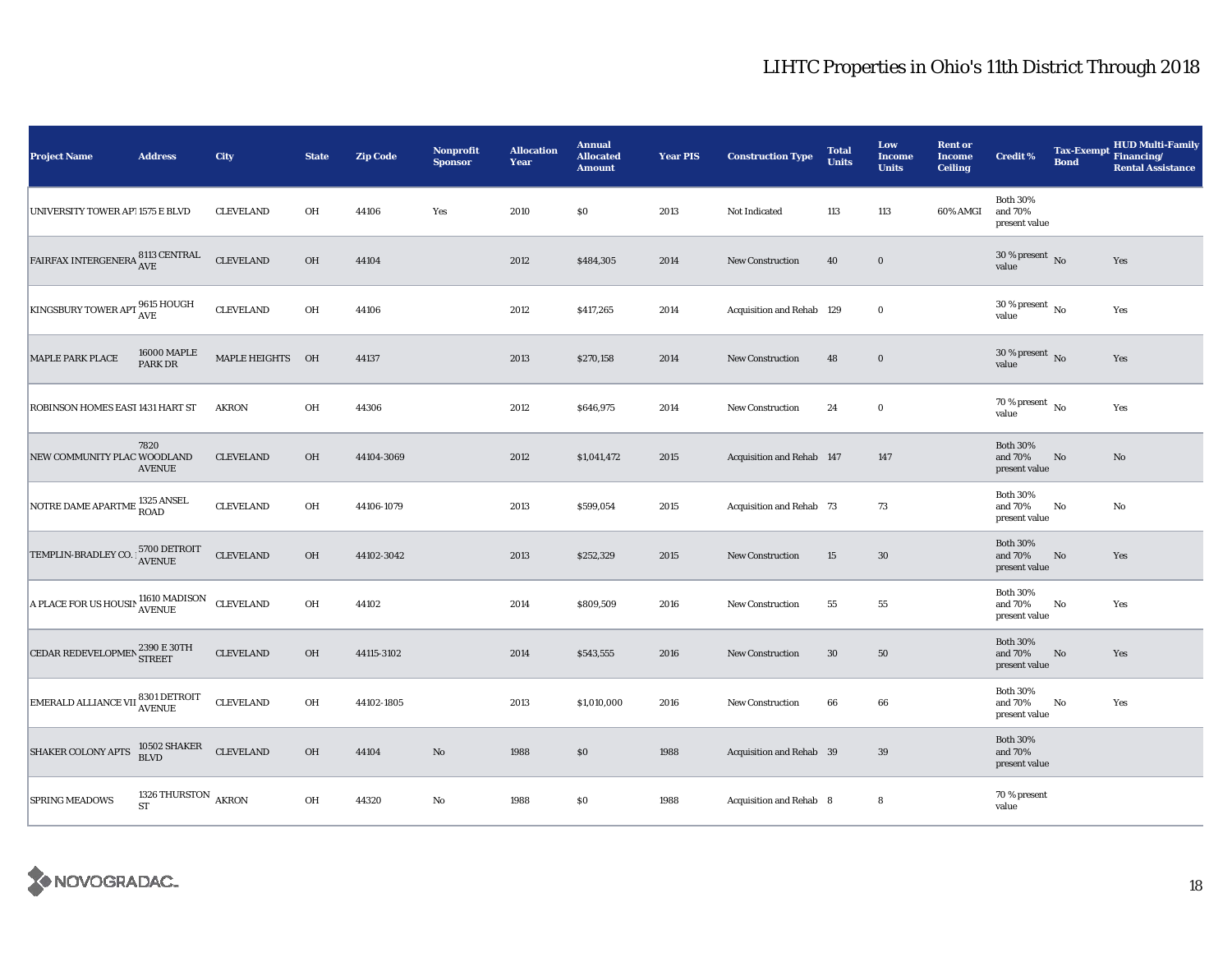| <b>Project Name</b>                 | <b>Address</b>                             | City             | <b>State</b> | <b>Zip Code</b> | <b>Nonprofit</b><br><b>Sponsor</b> | <b>Allocation</b><br>Year | <b>Annual</b><br><b>Allocated</b><br><b>Amount</b> | <b>Year PIS</b> | <b>Construction Type</b>  | <b>Total</b><br><b>Units</b> | Low<br><b>Income</b><br><b>Units</b> | <b>Rent or</b><br><b>Income</b><br><b>Ceiling</b> | <b>Credit %</b>                             | <b>Tax-Exempt</b><br><b>Bond</b> | <b>HUD Multi-Family</b><br>Financing/<br><b>Rental Assistance</b> |
|-------------------------------------|--------------------------------------------|------------------|--------------|-----------------|------------------------------------|---------------------------|----------------------------------------------------|-----------------|---------------------------|------------------------------|--------------------------------------|---------------------------------------------------|---------------------------------------------|----------------------------------|-------------------------------------------------------------------|
| UNIVERSITY TOWER AP! 1575 E BLVD    |                                            | <b>CLEVELAND</b> | OH           | 44106           | Yes                                | 2010                      | \$0                                                | 2013            | Not Indicated             | 113                          | 113                                  | 60% AMGI                                          | <b>Both 30%</b><br>and 70%<br>present value |                                  |                                                                   |
| FAIRFAX INTERGENERA 8113 CENTRAL    |                                            | <b>CLEVELAND</b> | $OH$         | 44104           |                                    | 2012                      | \$484,305                                          | 2014            | <b>New Construction</b>   | 40                           | $\mathbf 0$                          |                                                   | 30 % present $\overline{N_0}$<br>value      |                                  | Yes                                                               |
| KINGSBURY TOWER APT 8615 HOUGH      |                                            | <b>CLEVELAND</b> | OH           | 44106           |                                    | 2012                      | \$417,265                                          | 2014            | Acquisition and Rehab 129 |                              | $\mathbf 0$                          |                                                   | $30$ % present $\,$ No $\,$<br>value        |                                  | Yes                                                               |
| MAPLE PARK PLACE                    | <b>16000 MAPLE</b><br><b>PARK DR</b>       | MAPLE HEIGHTS OH |              | 44137           |                                    | 2013                      | \$270,158                                          | 2014            | New Construction          | 48                           | $\bf{0}$                             |                                                   | $30$ % present $\,$ No $\,$<br>value        |                                  | Yes                                                               |
| ROBINSON HOMES EAST 1431 HART ST    |                                            | <b>AKRON</b>     | OH           | 44306           |                                    | 2012                      | \$646,975                                          | 2014            | <b>New Construction</b>   | 24                           | $\bf{0}$                             |                                                   | 70 % present $\hbox{~No}$<br>value          |                                  | Yes                                                               |
| NEW COMMUNITY PLAC WOODLAND         | 7820<br><b>AVENUE</b>                      | <b>CLEVELAND</b> | OH           | 44104-3069      |                                    | 2012                      | \$1,041,472                                        | 2015            | Acquisition and Rehab 147 |                              | 147                                  |                                                   | <b>Both 30%</b><br>and 70%<br>present value | $\mathbf{No}$                    | No                                                                |
| NOTRE DAME APARTME 1325 ANSEL       |                                            | <b>CLEVELAND</b> | OH           | 44106-1079      |                                    | 2013                      | \$599,054                                          | 2015            | Acquisition and Rehab 73  |                              | 73                                   |                                                   | <b>Both 30%</b><br>and 70%<br>present value | No                               | No                                                                |
| TEMPLIN-BRADLEY CO. 15700 DETROIT   |                                            | <b>CLEVELAND</b> | $OH$         | 44102-3042      |                                    | 2013                      | \$252,329                                          | 2015            | <b>New Construction</b>   | 15                           | 30                                   |                                                   | <b>Both 30%</b><br>and 70%<br>present value | No                               | Yes                                                               |
| A PLACE FOR US HOUSIN 11610 MADISON |                                            | CLEVELAND        | OH           | 44102           |                                    | 2014                      | \$809,509                                          | 2016            | New Construction          | 55                           | 55                                   |                                                   | <b>Both 30%</b><br>and 70%<br>present value | No                               | Yes                                                               |
| CEDAR REDEVELOPMEN 2390 E 30TH      |                                            | <b>CLEVELAND</b> | OH           | 44115-3102      |                                    | 2014                      | \$543,555                                          | 2016            | <b>New Construction</b>   | 30                           | 50                                   |                                                   | <b>Both 30%</b><br>and 70%<br>present value | $\mathbf{No}$                    | Yes                                                               |
| EMERALD ALLIANCE VII 8301 DETROIT   |                                            | <b>CLEVELAND</b> | OH           | 44102-1805      |                                    | 2013                      | \$1,010,000                                        | 2016            | New Construction          | 66                           | 66                                   |                                                   | <b>Both 30%</b><br>and 70%<br>present value | No                               | Yes                                                               |
| <b>SHAKER COLONY APTS</b>           | 10502 SHAKER<br><b>BLVD</b>                | <b>CLEVELAND</b> | $OH$         | 44104           | $\rm No$                           | 1988                      | $\$0$                                              | 1988            | Acquisition and Rehab 39  |                              | 39                                   |                                                   | <b>Both 30%</b><br>and 70%<br>present value |                                  |                                                                   |
| <b>SPRING MEADOWS</b>               | 1326 THURSTON $\,$ AKRON $\,$<br><b>ST</b> |                  | OH           | 44320           | $\rm No$                           | 1988                      | \$0                                                | 1988            | Acquisition and Rehab 8   |                              | 8                                    |                                                   | 70 % present<br>value                       |                                  |                                                                   |

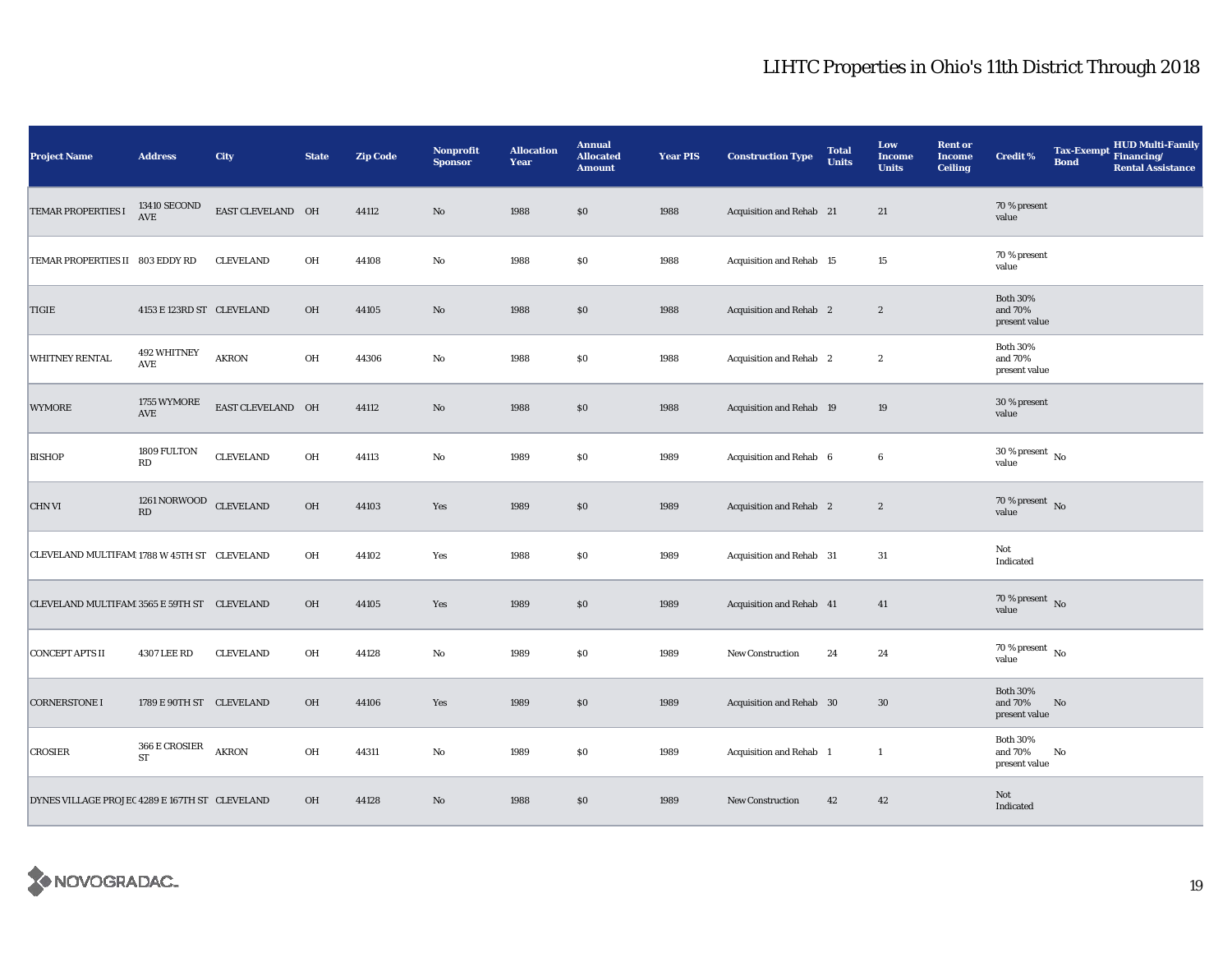| <b>Project Name</b>                            | <b>Address</b>             | City              | <b>State</b> | <b>Zip Code</b> | <b>Nonprofit</b><br><b>Sponsor</b> | <b>Allocation</b><br>Year | <b>Annual</b><br><b>Allocated</b><br><b>Amount</b> | <b>Year PIS</b> | <b>Construction Type</b>       | <b>Total</b><br><b>Units</b> | Low<br><b>Income</b><br><b>Units</b> | <b>Rent or</b><br><b>Income</b><br><b>Ceiling</b> | <b>Credit %</b>                             | <b>Tax-Exempt</b><br><b>Bond</b> | <b>HUD Multi-Family</b><br>Financing/<br><b>Rental Assistance</b> |
|------------------------------------------------|----------------------------|-------------------|--------------|-----------------|------------------------------------|---------------------------|----------------------------------------------------|-----------------|--------------------------------|------------------------------|--------------------------------------|---------------------------------------------------|---------------------------------------------|----------------------------------|-------------------------------------------------------------------|
| TEMAR PROPERTIES I                             | <b>13410 SECOND</b><br>AVE | EAST CLEVELAND OH |              | 44112           | $\rm No$                           | 1988                      | \$0                                                | 1988            | Acquisition and Rehab 21       |                              | 21                                   |                                                   | 70 % present<br>value                       |                                  |                                                                   |
| TEMAR PROPERTIES II 803 EDDY RD                |                            | <b>CLEVELAND</b>  | OH           | 44108           | $\mathbf{No}$                      | 1988                      | \$0                                                | 1988            | Acquisition and Rehab 15       |                              | 15                                   |                                                   | 70 % present<br>value                       |                                  |                                                                   |
| TIGIE                                          | 4153 E 123RD ST CLEVELAND  |                   | <b>OH</b>    | 44105           | No                                 | 1988                      | \$0                                                | 1988            | <b>Acquisition and Rehab</b> 2 |                              | $\boldsymbol{2}$                     |                                                   | <b>Both 30%</b><br>and 70%<br>present value |                                  |                                                                   |
| <b>WHITNEY RENTAL</b>                          | <b>492 WHITNEY</b><br>AVE  | <b>AKRON</b>      | OH           | 44306           | No                                 | 1988                      | \$0                                                | 1988            | Acquisition and Rehab 2        |                              | $\boldsymbol{2}$                     |                                                   | <b>Both 30%</b><br>and 70%<br>present value |                                  |                                                                   |
| <b>WYMORE</b>                                  | 1755 WYMORE<br>AVE         | EAST CLEVELAND OH |              | 44112           | $\mathbf{N}\mathbf{o}$             | 1988                      | \$0                                                | 1988            | Acquisition and Rehab 19       |                              | 19                                   |                                                   | 30 % present<br>value                       |                                  |                                                                   |
| <b>BISHOP</b>                                  | 1809 FULTON<br>RD          | <b>CLEVELAND</b>  | OH           | 44113           | $\rm No$                           | 1989                      | \$0                                                | 1989            | Acquisition and Rehab 6        |                              | $6\phantom{.0}$                      |                                                   | 30 % present $\,$ No $\,$<br>value          |                                  |                                                                   |
| CHN VI                                         | 1261 NORWOOD<br>RD         | <b>CLEVELAND</b>  | OH           | 44103           | Yes                                | 1989                      | \$0                                                | 1989            | <b>Acquisition and Rehab</b> 2 |                              | $\sqrt{2}$                           |                                                   | 70 % present $\hbox{~No}$<br>value          |                                  |                                                                   |
| CLEVELAND MULTIFAM 1788 W 45TH ST CLEVELAND    |                            |                   | OH           | 44102           | Yes                                | 1988                      | \$0                                                | 1989            | Acquisition and Rehab 31       |                              | 31                                   |                                                   | Not<br>Indicated                            |                                  |                                                                   |
| CLEVELAND MULTIFAM 3565 E 59TH ST CLEVELAND    |                            |                   | OH           | 44105           | Yes                                | 1989                      | \$0                                                | 1989            | Acquisition and Rehab 41       |                              | 41                                   |                                                   | 70 % present $\overline{N_0}$<br>value      |                                  |                                                                   |
| <b>CONCEPT APTS II</b>                         | <b>4307 LEE RD</b>         | <b>CLEVELAND</b>  | OH           | 44128           | No                                 | 1989                      | \$0                                                | 1989            | New Construction               | 24                           | 24                                   |                                                   | 70 % present $\hbox{~No}$<br>value          |                                  |                                                                   |
| <b>CORNERSTONE I</b>                           | 1789 E 90TH ST CLEVELAND   |                   | OH           | 44106           | Yes                                | 1989                      | $\$0$                                              | 1989            | Acquisition and Rehab 30       |                              | $30\,$                               |                                                   | <b>Both 30%</b><br>and 70%<br>present value | No                               |                                                                   |
| <b>CROSIER</b>                                 | 366 E CROSIER<br>ST        | <b>AKRON</b>      | OH           | 44311           | No                                 | 1989                      | \$0                                                | 1989            | Acquisition and Rehab 1        |                              | $\mathbf{1}$                         |                                                   | <b>Both 30%</b><br>and 70%<br>present value | No                               |                                                                   |
| DYNES VILLAGE PROJEC 4289 E 167TH ST CLEVELAND |                            |                   | OH           | 44128           | No                                 | 1988                      | \$0                                                | 1989            | <b>New Construction</b>        | 42                           | 42                                   |                                                   | Not<br>Indicated                            |                                  |                                                                   |

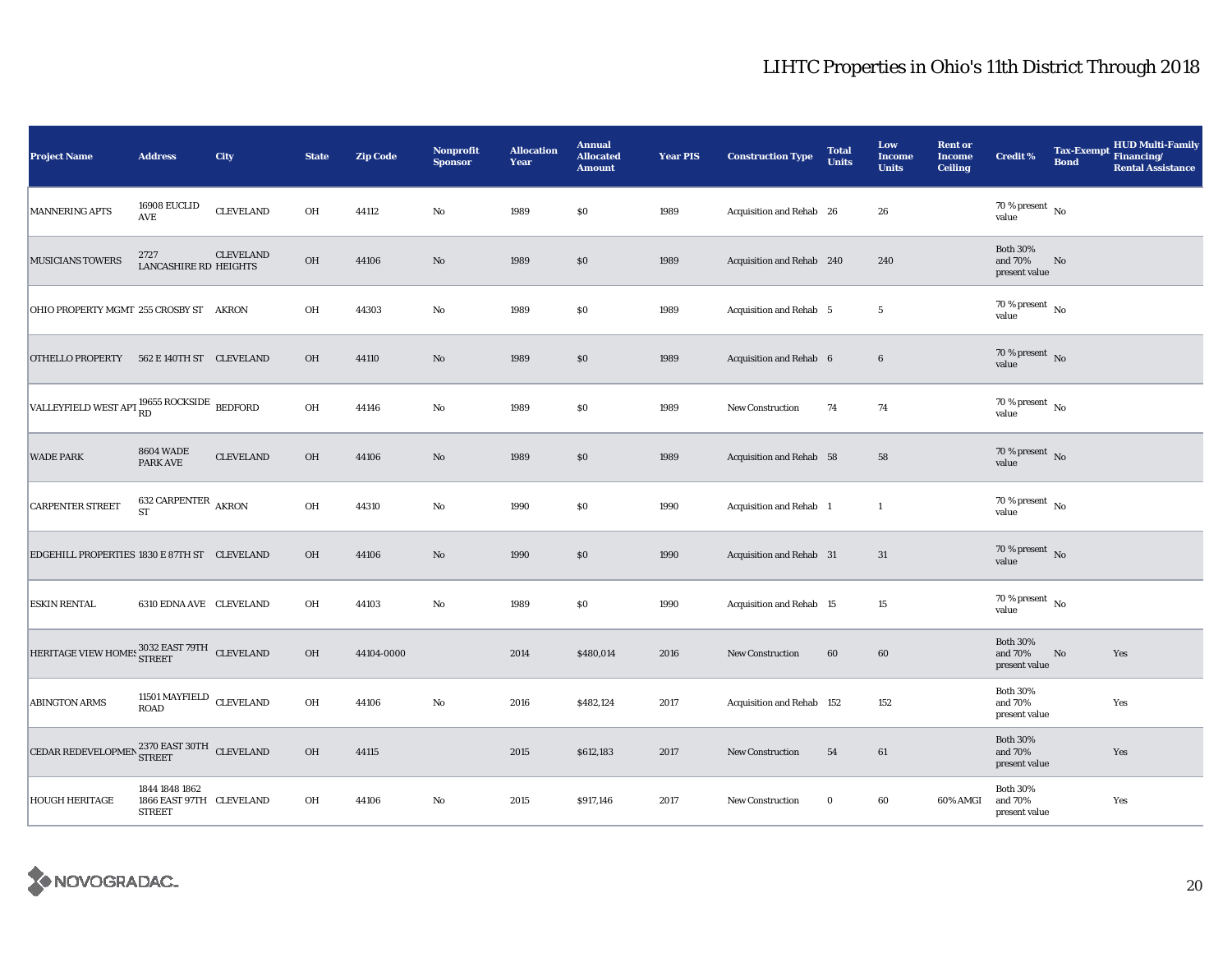| <b>Project Name</b>                                       | <b>Address</b>                                              | City             | <b>State</b> | <b>Zip Code</b> | <b>Nonprofit</b><br><b>Sponsor</b> | <b>Allocation</b><br>Year | <b>Annual</b><br><b>Allocated</b><br><b>Amount</b> | <b>Year PIS</b> | <b>Construction Type</b>  | <b>Total</b><br><b>Units</b> | Low<br><b>Income</b><br><b>Units</b> | <b>Rent or</b><br><b>Income</b><br><b>Ceiling</b> | <b>Credit %</b>                             | <b>Tax-Exempt</b><br><b>Bond</b> | HUD Multi-Family<br>Financing/<br><b>Rental Assistance</b> |
|-----------------------------------------------------------|-------------------------------------------------------------|------------------|--------------|-----------------|------------------------------------|---------------------------|----------------------------------------------------|-----------------|---------------------------|------------------------------|--------------------------------------|---------------------------------------------------|---------------------------------------------|----------------------------------|------------------------------------------------------------|
| <b>MANNERING APTS</b>                                     | 16908 EUCLID<br>AVE                                         | <b>CLEVELAND</b> | OH           | 44112           | $\rm No$                           | 1989                      | \$0                                                | 1989            | Acquisition and Rehab 26  |                              | 26                                   |                                                   | 70 % present $\hbox{~No}$<br>value          |                                  |                                                            |
| <b>MUSICIANS TOWERS</b>                                   | 2727<br>LANCASHIRE RD HEIGHTS                               | <b>CLEVELAND</b> | OH           | 44106           | $\rm No$                           | 1989                      | \$0                                                | 1989            | Acquisition and Rehab 240 |                              | 240                                  |                                                   | <b>Both 30%</b><br>and 70%<br>present value | No                               |                                                            |
| OHIO PROPERTY MGMT 255 CROSBY ST AKRON                    |                                                             |                  | OH           | 44303           | No                                 | 1989                      | $\$0$                                              | 1989            | Acquisition and Rehab 5   |                              | $5\phantom{.0}$                      |                                                   | 70 % present $\hbox{~No}$<br>value          |                                  |                                                            |
| <b>OTHELLO PROPERTY</b>                                   | 562 E 140TH ST CLEVELAND                                    |                  | <b>OH</b>    | 44110           | $\rm No$                           | 1989                      | \$0                                                | 1989            | Acquisition and Rehab 6   |                              | $\boldsymbol{6}$                     |                                                   | 70 % present $\hbox{~No}$<br>value          |                                  |                                                            |
| VALLEYFIELD WEST APT $_{\rm RD}^{19655}$ ROCKSIDE BEDFORD |                                                             |                  | OH           | 44146           | No                                 | 1989                      | \$0                                                | 1989            | <b>New Construction</b>   | 74                           | 74                                   |                                                   | 70 % present $\hbox{~No}$<br>value          |                                  |                                                            |
| <b>WADE PARK</b>                                          | <b>8604 WADE</b><br>PARK AVE                                | <b>CLEVELAND</b> | OH           | 44106           | $\rm No$                           | 1989                      | \$0                                                | 1989            | Acquisition and Rehab 58  |                              | 58                                   |                                                   | 70 % present $\bar{N}$<br>value             |                                  |                                                            |
| <b>CARPENTER STREET</b>                                   | 632 CARPENTER AKRON<br><b>ST</b>                            |                  | OH           | 44310           | No                                 | 1990                      | \$0                                                | 1990            | Acquisition and Rehab 1   |                              | $\mathbf{1}$                         |                                                   | 70 % present $\hbox{~No}$<br>value          |                                  |                                                            |
| EDGEHILL PROPERTIES 1830 E 87TH ST CLEVELAND              |                                                             |                  | OH           | 44106           | $\rm No$                           | 1990                      | $\$0$                                              | 1990            | Acquisition and Rehab 31  |                              | 31                                   |                                                   | 70 % present $\bar{N}$ o<br>value           |                                  |                                                            |
| <b>ESKIN RENTAL</b>                                       | 6310 EDNA AVE CLEVELAND                                     |                  | OH           | 44103           | $\rm No$                           | 1989                      | \$0                                                | 1990            | Acquisition and Rehab 15  |                              | $15\,$                               |                                                   | $70\,\%$ present $\,$ No $\,$<br>value      |                                  |                                                            |
| HERITAGE VIEW HOMES STREET 79TH CLEVELAND                 |                                                             |                  | OH           | 44104-0000      |                                    | 2014                      | \$480,014                                          | 2016            | <b>New Construction</b>   | 60                           | 60                                   |                                                   | <b>Both 30%</b><br>and 70%<br>present value | $\mathbf{No}$                    | Yes                                                        |
| <b>ABINGTON ARMS</b>                                      | 11501 MAYFIELD CLEVELAND<br><b>ROAD</b>                     |                  | OH           | 44106           | $\rm No$                           | 2016                      | \$482,124                                          | 2017            | Acquisition and Rehab 152 |                              | 152                                  |                                                   | <b>Both 30%</b><br>and 70%<br>present value |                                  | Yes                                                        |
| CEDAR REDEVELOPMEN $^{2370\,} _{\rm{STRET}}$ CLEVELAND    |                                                             |                  | OH           | 44115           |                                    | 2015                      | \$612,183                                          | 2017            | <b>New Construction</b>   | 54                           | 61                                   |                                                   | <b>Both 30%</b><br>and 70%<br>present value |                                  | Yes                                                        |
| <b>HOUGH HERITAGE</b>                                     | 1844 1848 1862<br>1866 EAST 97TH CLEVELAND<br><b>STREET</b> |                  | OH           | 44106           | No                                 | 2015                      | \$917,146                                          | 2017            | New Construction          | $\bf{0}$                     | 60                                   | 60% AMGI                                          | <b>Both 30%</b><br>and 70%<br>present value |                                  | Yes                                                        |